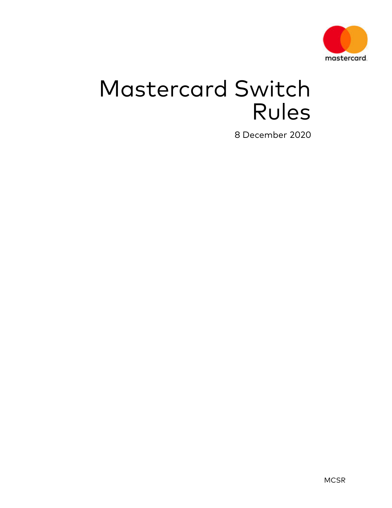

# Mastercard Switch Rules

8 December 2020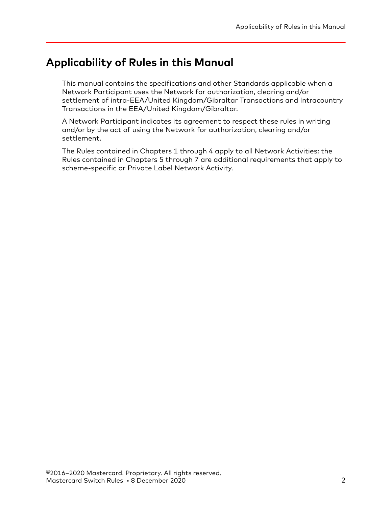# <span id="page-1-0"></span>**Applicability of Rules in this Manual**

This manual contains the specifications and other Standards applicable when a Network Participant uses the Network for authorization, clearing and/or settlement of intra-EEA/United Kingdom/Gibraltar Transactions and Intracountry Transactions in the EEA/United Kingdom/Gibraltar.

A Network Participant indicates its agreement to respect these rules in writing and/or by the act of using the Network for authorization, clearing and/or settlement.

The Rules contained in Chapters 1 through 4 apply to all Network Activities; the Rules contained in Chapters 5 through 7 are additional requirements that apply to scheme-specific or Private Label Network Activity.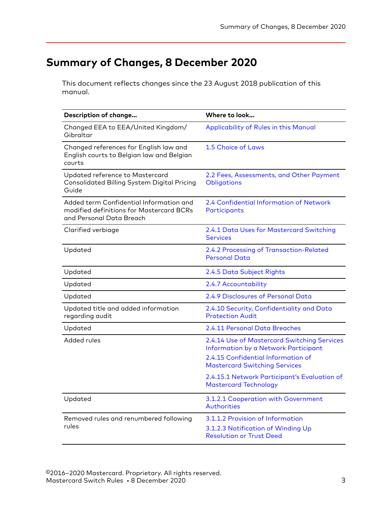# <span id="page-2-0"></span>**Summary of Changes, 8 December 2020**

This document reflects changes since the 23 August 2018 publication of this manual.

| Description of change                                                                                           | Where to look                                                                                                             |
|-----------------------------------------------------------------------------------------------------------------|---------------------------------------------------------------------------------------------------------------------------|
| Changed EEA to EEA/United Kingdom/<br>Gibraltar                                                                 | Applicability of Rules in this Manual                                                                                     |
| Changed references for English law and<br>English courts to Belgian law and Belgian<br>courts                   | 1.5 Choice of Laws                                                                                                        |
| Updated reference to Mastercard<br>Consolidated Billing System Digital Pricing<br>Guide                         | 2.2 Fees, Assessments, and Other Payment<br>Obligations                                                                   |
| Added term Confidential Information and<br>modified definitions for Mastercard BCRs<br>and Personal Data Breach | 2.4 Confidential Information of Network<br>Participants                                                                   |
| Clarified verbiage                                                                                              | 2.4.1 Data Uses for Mastercard Switching<br><b>Services</b>                                                               |
| Updated                                                                                                         | 2.4.2 Processing of Transaction-Related<br><b>Personal Data</b>                                                           |
| Updated                                                                                                         | 2.4.5 Data Subject Rights                                                                                                 |
| Updated                                                                                                         | 2.4.7 Accountability                                                                                                      |
| Updated                                                                                                         | 2.4.9 Disclosures of Personal Data                                                                                        |
| Updated title and added information<br>regarding audit                                                          | 2.4.10 Security, Confidentiality and Data<br><b>Protection Audit</b>                                                      |
| Updated                                                                                                         | 2.4.11 Personal Data Breaches                                                                                             |
| Added rules                                                                                                     | 2.4.14 Use of Mastercard Switching Services<br>Information by a Network Participant<br>2.4.15 Confidential Information of |
|                                                                                                                 | <b>Mastercard Switching Services</b>                                                                                      |
|                                                                                                                 | 2.4.15.1 Network Participant's Evaluation of<br><b>Mastercard Technology</b>                                              |
| Updated                                                                                                         | 3.1.2.1 Cooperation with Government<br><b>Authorities</b>                                                                 |
| Removed rules and renumbered following                                                                          | 3.1.1.2 Provision of Information                                                                                          |
| rules                                                                                                           | 3.1.2.3 Notification of Winding Up<br><b>Resolution or Trust Deed</b>                                                     |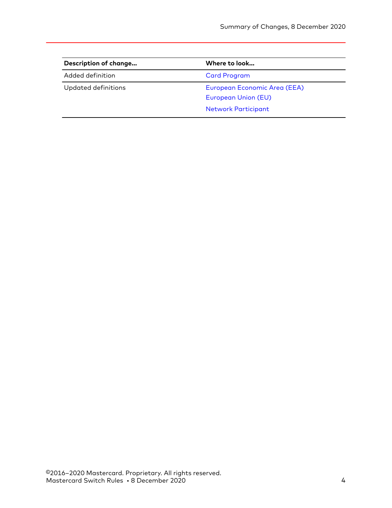| Description of change | Where to look                                       |  |
|-----------------------|-----------------------------------------------------|--|
| Added definition      | <b>Card Program</b>                                 |  |
| Updated definitions   | European Economic Area (EEA)<br>European Union (EU) |  |
|                       | <b>Network Participant</b>                          |  |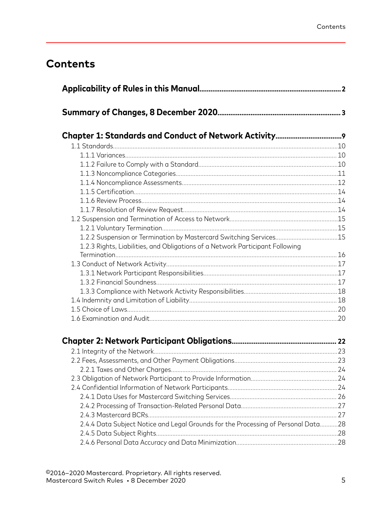# **Contents**

| 1.2.2 Suspension or Termination by Mastercard Switching Services15                |  |
|-----------------------------------------------------------------------------------|--|
| 1.2.3 Rights, Liabilities, and Obligations of a Network Participant Following     |  |
|                                                                                   |  |
|                                                                                   |  |
|                                                                                   |  |
|                                                                                   |  |
|                                                                                   |  |
|                                                                                   |  |
|                                                                                   |  |
|                                                                                   |  |
|                                                                                   |  |
|                                                                                   |  |
|                                                                                   |  |
|                                                                                   |  |
|                                                                                   |  |
|                                                                                   |  |
|                                                                                   |  |
|                                                                                   |  |
|                                                                                   |  |
| 2.4.4 Data Subject Notice and Legal Grounds for the Processing of Personal Data28 |  |
|                                                                                   |  |
|                                                                                   |  |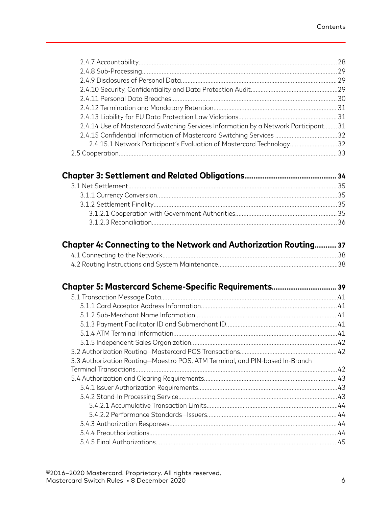|                                                                                     | .29 |
|-------------------------------------------------------------------------------------|-----|
|                                                                                     |     |
|                                                                                     |     |
|                                                                                     |     |
|                                                                                     |     |
|                                                                                     |     |
| 2.4.14 Use of Mastercard Switching Services Information by a Network Participant 31 |     |
| 2.4.15 Confidential Information of Mastercard Switching Services 32                 |     |
| 2.4.15.1 Network Participant's Evaluation of Mastercard Technology32                |     |
| 2.5 Cooperation                                                                     |     |

| Chapter 4: Connecting to the Network and Authorization Routing 37 |  |
|-------------------------------------------------------------------|--|
|                                                                   |  |
|                                                                   |  |

| 5.3 Authorization Routing-Maestro POS, ATM Terminal, and PIN-based In-Branch |     |
|------------------------------------------------------------------------------|-----|
|                                                                              |     |
|                                                                              |     |
|                                                                              |     |
|                                                                              |     |
|                                                                              |     |
|                                                                              |     |
|                                                                              |     |
|                                                                              |     |
|                                                                              | .45 |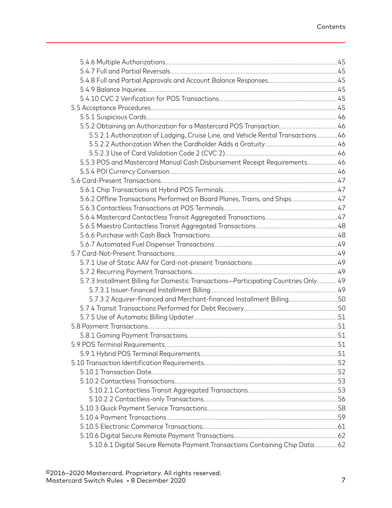| 5.5.2 Obtaining an Authorization for a Mastercard POS Transaction 46                |  |
|-------------------------------------------------------------------------------------|--|
| 5.5.2.1 Authorization of Lodging, Cruise Line, and Vehicle Rental Transactions 46   |  |
|                                                                                     |  |
|                                                                                     |  |
| 5.5.3 POS and Mastercard Manual Cash Disbursement Receipt Requirements 46           |  |
|                                                                                     |  |
|                                                                                     |  |
|                                                                                     |  |
| 5.6.2 Offline Transactions Performed on Board Planes, Trains, and Ships 47          |  |
|                                                                                     |  |
|                                                                                     |  |
|                                                                                     |  |
|                                                                                     |  |
|                                                                                     |  |
|                                                                                     |  |
|                                                                                     |  |
|                                                                                     |  |
| 5.7.3 Installment Billing for Domestic Transactions-Participating Countries Only 49 |  |
|                                                                                     |  |
| 5.7.3.2 Acquirer-financed and Merchant-financed Installment Billing50               |  |
|                                                                                     |  |
|                                                                                     |  |
|                                                                                     |  |
|                                                                                     |  |
|                                                                                     |  |
|                                                                                     |  |
|                                                                                     |  |
|                                                                                     |  |
|                                                                                     |  |
|                                                                                     |  |
|                                                                                     |  |
|                                                                                     |  |
|                                                                                     |  |
|                                                                                     |  |
|                                                                                     |  |
| 5.10.6.1 Digital Secure Remote Payment Transactions Containing Chip Data 62         |  |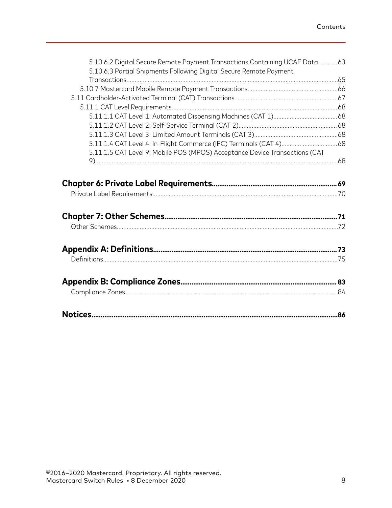|                                                                             | 5.10.6.2 Digital Secure Remote Payment Transactions Containing UCAF Data63 |
|-----------------------------------------------------------------------------|----------------------------------------------------------------------------|
| 5.10.6.3 Partial Shipments Following Digital Secure Remote Payment          |                                                                            |
|                                                                             |                                                                            |
|                                                                             |                                                                            |
|                                                                             |                                                                            |
|                                                                             |                                                                            |
|                                                                             |                                                                            |
|                                                                             |                                                                            |
|                                                                             |                                                                            |
| 5.11.1.5 CAT Level 9: Mobile POS (MPOS) Acceptance Device Transactions (CAT |                                                                            |
|                                                                             |                                                                            |
|                                                                             |                                                                            |
|                                                                             |                                                                            |
|                                                                             |                                                                            |
|                                                                             |                                                                            |
|                                                                             |                                                                            |
|                                                                             |                                                                            |
|                                                                             |                                                                            |
|                                                                             |                                                                            |
|                                                                             |                                                                            |
|                                                                             |                                                                            |
|                                                                             |                                                                            |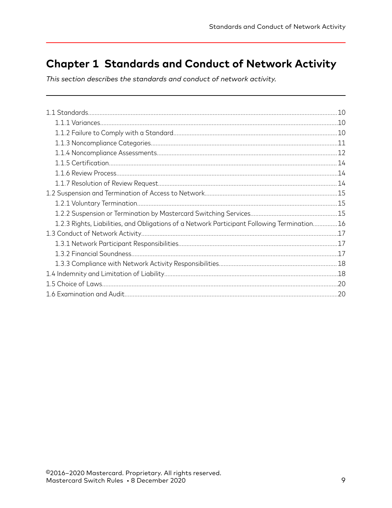# <span id="page-8-0"></span>**Chapter 1 Standards and Conduct of Network Activity**

This section describes the standards and conduct of network activity.

|                                                                                             | .10 |
|---------------------------------------------------------------------------------------------|-----|
|                                                                                             |     |
|                                                                                             |     |
|                                                                                             |     |
|                                                                                             |     |
|                                                                                             |     |
|                                                                                             |     |
|                                                                                             |     |
|                                                                                             |     |
|                                                                                             |     |
|                                                                                             |     |
| 1.2.3 Rights, Liabilities, and Obligations of a Network Participant Following Termination16 |     |
|                                                                                             |     |
|                                                                                             |     |
|                                                                                             |     |
|                                                                                             |     |
|                                                                                             |     |
|                                                                                             |     |
|                                                                                             | .20 |
|                                                                                             |     |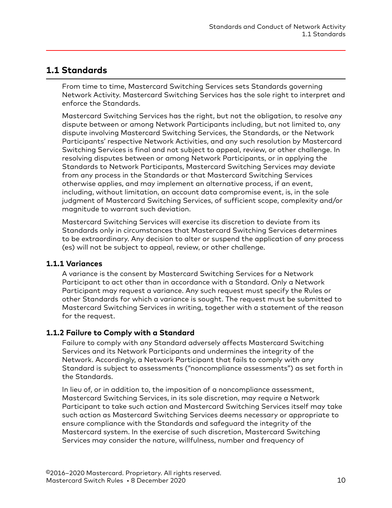### <span id="page-9-0"></span>**1.1 Standards**

From time to time, Mastercard Switching Services sets Standards governing Network Activity. Mastercard Switching Services has the sole right to interpret and enforce the Standards.

Mastercard Switching Services has the right, but not the obligation, to resolve any dispute between or among Network Participants including, but not limited to, any dispute involving Mastercard Switching Services, the Standards, or the Network Participants' respective Network Activities, and any such resolution by Mastercard Switching Services is final and not subject to appeal, review, or other challenge. In resolving disputes between or among Network Participants, or in applying the Standards to Network Participants, Mastercard Switching Services may deviate from any process in the Standards or that Mastercard Switching Services otherwise applies, and may implement an alternative process, if an event, including, without limitation, an account data compromise event, is, in the sole judgment of Mastercard Switching Services, of sufficient scope, complexity and/or magnitude to warrant such deviation.

Mastercard Switching Services will exercise its discretion to deviate from its Standards only in circumstances that Mastercard Switching Services determines to be extraordinary. Any decision to alter or suspend the application of any process (es) will not be subject to appeal, review, or other challenge.

#### **1.1.1 Variances**

A variance is the consent by Mastercard Switching Services for a Network Participant to act other than in accordance with a Standard. Only a Network Participant may request a variance. Any such request must specify the Rules or other Standards for which a variance is sought. The request must be submitted to Mastercard Switching Services in writing, together with a statement of the reason for the request.

#### **1.1.2 Failure to Comply with a Standard**

Failure to comply with any Standard adversely affects Mastercard Switching Services and its Network Participants and undermines the integrity of the Network. Accordingly, a Network Participant that fails to comply with any Standard is subject to assessments ("noncompliance assessments") as set forth in the Standards.

In lieu of, or in addition to, the imposition of a noncompliance assessment, Mastercard Switching Services, in its sole discretion, may require a Network Participant to take such action and Mastercard Switching Services itself may take such action as Mastercard Switching Services deems necessary or appropriate to ensure compliance with the Standards and safeguard the integrity of the Mastercard system. In the exercise of such discretion, Mastercard Switching Services may consider the nature, willfulness, number and frequency of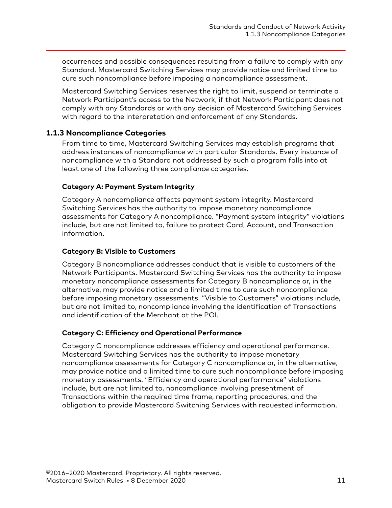<span id="page-10-0"></span>occurrences and possible consequences resulting from a failure to comply with any Standard. Mastercard Switching Services may provide notice and limited time to cure such noncompliance before imposing a noncompliance assessment.

Mastercard Switching Services reserves the right to limit, suspend or terminate a Network Participant's access to the Network, if that Network Participant does not comply with any Standards or with any decision of Mastercard Switching Services with regard to the interpretation and enforcement of any Standards.

#### **1.1.3 Noncompliance Categories**

From time to time, Mastercard Switching Services may establish programs that address instances of noncompliance with particular Standards. Every instance of noncompliance with a Standard not addressed by such a program falls into at least one of the following three compliance categories.

#### **Category A: Payment System Integrity**

Category A noncompliance affects payment system integrity. Mastercard Switching Services has the authority to impose monetary noncompliance assessments for Category A noncompliance. "Payment system integrity" violations include, but are not limited to, failure to protect Card, Account, and Transaction information.

#### **Category B: Visible to Customers**

Category B noncompliance addresses conduct that is visible to customers of the Network Participants. Mastercard Switching Services has the authority to impose monetary noncompliance assessments for Category B noncompliance or, in the alternative, may provide notice and a limited time to cure such noncompliance before imposing monetary assessments. "Visible to Customers" violations include, but are not limited to, noncompliance involving the identification of Transactions and identification of the Merchant at the POI.

#### **Category C: Efficiency and Operational Performance**

Category C noncompliance addresses efficiency and operational performance. Mastercard Switching Services has the authority to impose monetary noncompliance assessments for Category C noncompliance or, in the alternative, may provide notice and a limited time to cure such noncompliance before imposing monetary assessments. "Efficiency and operational performance" violations include, but are not limited to, noncompliance involving presentment of Transactions within the required time frame, reporting procedures, and the obligation to provide Mastercard Switching Services with requested information.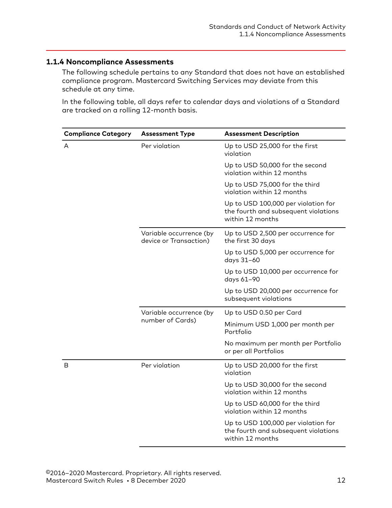### <span id="page-11-0"></span>**1.1.4 Noncompliance Assessments**

The following schedule pertains to any Standard that does not have an established compliance program. Mastercard Switching Services may deviate from this schedule at any time.

In the following table, all days refer to calendar days and violations of a Standard are tracked on a rolling 12-month basis.

| <b>Compliance Category</b> | <b>Assessment Type</b>                            | <b>Assessment Description</b>                                                                   |
|----------------------------|---------------------------------------------------|-------------------------------------------------------------------------------------------------|
| A                          | Per violation                                     | Up to USD 25,000 for the first<br>violation                                                     |
|                            |                                                   | Up to USD 50,000 for the second<br>violation within 12 months                                   |
|                            |                                                   | Up to USD 75,000 for the third<br>violation within 12 months                                    |
|                            |                                                   | Up to USD 100,000 per violation for<br>the fourth and subsequent violations<br>within 12 months |
|                            | Variable occurrence (by<br>device or Transaction) | Up to USD 2,500 per occurrence for<br>the first 30 days                                         |
|                            |                                                   | Up to USD 5,000 per occurrence for<br>days 31-60                                                |
|                            |                                                   | Up to USD 10,000 per occurrence for<br>days 61-90                                               |
|                            |                                                   | Up to USD 20,000 per occurrence for<br>subsequent violations                                    |
|                            | Variable occurrence (by                           | Up to USD 0.50 per Card                                                                         |
|                            | number of Cards)                                  | Minimum USD 1,000 per month per<br>Portfolio                                                    |
|                            |                                                   | No maximum per month per Portfolio<br>or per all Portfolios                                     |
| B                          | Per violation                                     | Up to USD 20,000 for the first<br>violation                                                     |
|                            |                                                   | Up to USD 30,000 for the second<br>violation within 12 months                                   |
|                            |                                                   | Up to USD 60,000 for the third<br>violation within 12 months                                    |
|                            |                                                   | Up to USD 100,000 per violation for<br>the fourth and subsequent violations<br>within 12 months |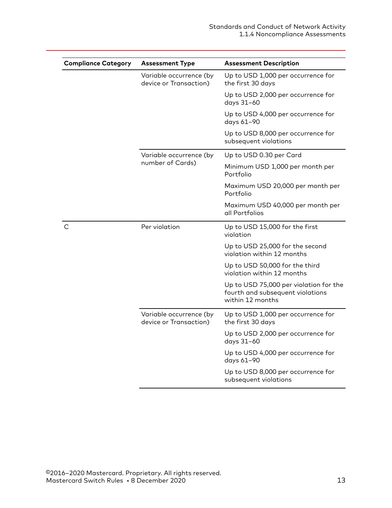| <b>Compliance Category</b> | <b>Assessment Type</b>                            | <b>Assessment Description</b>                                                                  |
|----------------------------|---------------------------------------------------|------------------------------------------------------------------------------------------------|
|                            | Variable occurrence (by<br>device or Transaction) | Up to USD 1,000 per occurrence for<br>the first 30 days                                        |
|                            |                                                   | Up to USD 2,000 per occurrence for<br>days 31-60                                               |
|                            |                                                   | Up to USD 4,000 per occurrence for<br>days 61-90                                               |
|                            |                                                   | Up to USD 8,000 per occurrence for<br>subsequent violations                                    |
|                            | Variable occurrence (by                           | Up to USD 0.30 per Card                                                                        |
|                            | number of Cards)                                  | Minimum USD 1,000 per month per<br>Portfolio                                                   |
|                            |                                                   | Maximum USD 20,000 per month per<br>Portfolio                                                  |
|                            |                                                   | Maximum USD 40,000 per month per<br>all Portfolios                                             |
| C                          | Per violation                                     | Up to USD 15,000 for the first<br>violation                                                    |
|                            |                                                   | Up to USD 25,000 for the second<br>violation within 12 months                                  |
|                            |                                                   | Up to USD 50,000 for the third<br>violation within 12 months                                   |
|                            |                                                   | Up to USD 75,000 per violation for the<br>fourth and subsequent violations<br>within 12 months |
|                            | Variable occurrence (by<br>device or Transaction) | Up to USD 1,000 per occurrence for<br>the first 30 days                                        |
|                            |                                                   | Up to USD 2,000 per occurrence for<br>days 31-60                                               |
|                            |                                                   | Up to USD 4,000 per occurrence for<br>days 61-90                                               |
|                            |                                                   | Up to USD 8,000 per occurrence for<br>subsequent violations                                    |
|                            |                                                   |                                                                                                |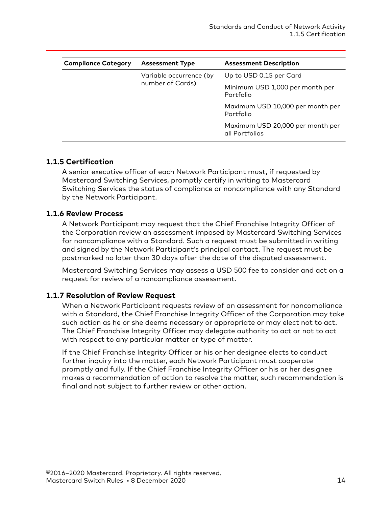<span id="page-13-0"></span>

| <b>Compliance Category</b> | <b>Assessment Type</b>                      | <b>Assessment Description</b>                      |
|----------------------------|---------------------------------------------|----------------------------------------------------|
|                            | Variable occurrence (by<br>number of Cards) | Up to USD 0.15 per Card                            |
|                            |                                             | Minimum USD 1,000 per month per<br>Portfolio       |
|                            |                                             | Maximum USD 10,000 per month per<br>Portfolio      |
|                            |                                             | Maximum USD 20,000 per month per<br>all Portfolios |

#### **1.1.5 Certification**

A senior executive officer of each Network Participant must, if requested by Mastercard Switching Services, promptly certify in writing to Mastercard Switching Services the status of compliance or noncompliance with any Standard by the Network Participant.

#### **1.1.6 Review Process**

A Network Participant may request that the Chief Franchise Integrity Officer of the Corporation review an assessment imposed by Mastercard Switching Services for noncompliance with a Standard. Such a request must be submitted in writing and signed by the Network Participant's principal contact. The request must be postmarked no later than 30 days after the date of the disputed assessment.

Mastercard Switching Services may assess a USD 500 fee to consider and act on a request for review of a noncompliance assessment.

#### **1.1.7 Resolution of Review Request**

When a Network Participant requests review of an assessment for noncompliance with a Standard, the Chief Franchise Integrity Officer of the Corporation may take such action as he or she deems necessary or appropriate or may elect not to act. The Chief Franchise Integrity Officer may delegate authority to act or not to act with respect to any particular matter or type of matter.

If the Chief Franchise Integrity Officer or his or her designee elects to conduct further inquiry into the matter, each Network Participant must cooperate promptly and fully. If the Chief Franchise Integrity Officer or his or her designee makes a recommendation of action to resolve the matter, such recommendation is final and not subject to further review or other action.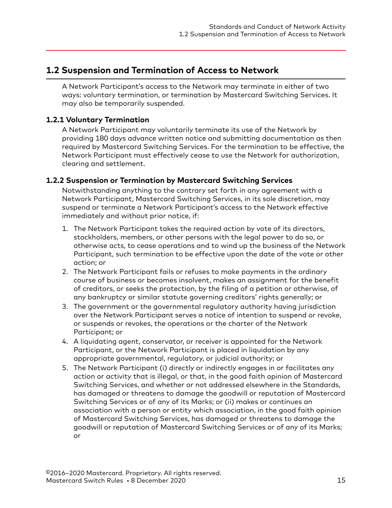### <span id="page-14-0"></span>**1.2 Suspension and Termination of Access to Network**

A Network Participant's access to the Network may terminate in either of two ways: voluntary termination, or termination by Mastercard Switching Services. It may also be temporarily suspended.

#### **1.2.1 Voluntary Termination**

A Network Participant may voluntarily terminate its use of the Network by providing 180 days advance written notice and submitting documentation as then required by Mastercard Switching Services. For the termination to be effective, the Network Participant must effectively cease to use the Network for authorization, clearing and settlement.

#### **1.2.2 Suspension or Termination by Mastercard Switching Services**

Notwithstanding anything to the contrary set forth in any agreement with a Network Participant, Mastercard Switching Services, in its sole discretion, may suspend or terminate a Network Participant's access to the Network effective immediately and without prior notice, if:

- 1. The Network Participant takes the required action by vote of its directors, stockholders, members, or other persons with the legal power to do so, or otherwise acts, to cease operations and to wind up the business of the Network Participant, such termination to be effective upon the date of the vote or other action; or
- 2. The Network Participant fails or refuses to make payments in the ordinary course of business or becomes insolvent, makes an assignment for the benefit of creditors, or seeks the protection, by the filing of a petition or otherwise, of any bankruptcy or similar statute governing creditors' rights generally; or
- 3. The government or the governmental regulatory authority having jurisdiction over the Network Participant serves a notice of intention to suspend or revoke, or suspends or revokes, the operations or the charter of the Network Participant; or
- 4. A liquidating agent, conservator, or receiver is appointed for the Network Participant, or the Network Participant is placed in liquidation by any appropriate governmental, regulatory, or judicial authority; or
- 5. The Network Participant (i) directly or indirectly engages in or facilitates any action or activity that is illegal, or that, in the good faith opinion of Mastercard Switching Services, and whether or not addressed elsewhere in the Standards, has damaged or threatens to damage the goodwill or reputation of Mastercard Switching Services or of any of its Marks; or (ii) makes or continues an association with a person or entity which association, in the good faith opinion of Mastercard Switching Services, has damaged or threatens to damage the goodwill or reputation of Mastercard Switching Services or of any of its Marks; or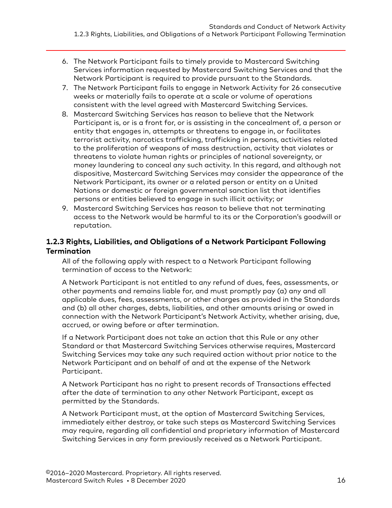- <span id="page-15-0"></span>6. The Network Participant fails to timely provide to Mastercard Switching Services information requested by Mastercard Switching Services and that the Network Participant is required to provide pursuant to the Standards.
- 7. The Network Participant fails to engage in Network Activity for 26 consecutive weeks or materially fails to operate at a scale or volume of operations consistent with the level agreed with Mastercard Switching Services.
- 8. Mastercard Switching Services has reason to believe that the Network Participant is, or is a front for, or is assisting in the concealment of, a person or entity that engages in, attempts or threatens to engage in, or facilitates terrorist activity, narcotics trafficking, trafficking in persons, activities related to the proliferation of weapons of mass destruction, activity that violates or threatens to violate human rights or principles of national sovereignty, or money laundering to conceal any such activity. In this regard, and although not dispositive, Mastercard Switching Services may consider the appearance of the Network Participant, its owner or a related person or entity on a United Nations or domestic or foreign governmental sanction list that identifies persons or entities believed to engage in such illicit activity; or
- 9. Mastercard Switching Services has reason to believe that not terminating access to the Network would be harmful to its or the Corporation's goodwill or reputation.

#### **1.2.3 Rights, Liabilities, and Obligations of a Network Participant Following Termination**

All of the following apply with respect to a Network Participant following termination of access to the Network:

A Network Participant is not entitled to any refund of dues, fees, assessments, or other payments and remains liable for, and must promptly pay (a) any and all applicable dues, fees, assessments, or other charges as provided in the Standards and (b) all other charges, debts, liabilities, and other amounts arising or owed in connection with the Network Participant's Network Activity, whether arising, due, accrued, or owing before or after termination.

If a Network Participant does not take an action that this Rule or any other Standard or that Mastercard Switching Services otherwise requires, Mastercard Switching Services may take any such required action without prior notice to the Network Participant and on behalf of and at the expense of the Network Participant.

A Network Participant has no right to present records of Transactions effected after the date of termination to any other Network Participant, except as permitted by the Standards.

A Network Participant must, at the option of Mastercard Switching Services, immediately either destroy, or take such steps as Mastercard Switching Services may require, regarding all confidential and proprietary information of Mastercard Switching Services in any form previously received as a Network Participant.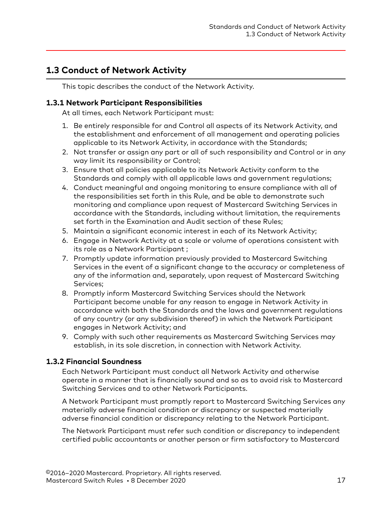# <span id="page-16-0"></span>**1.3 Conduct of Network Activity**

This topic describes the conduct of the Network Activity.

#### **1.3.1 Network Participant Responsibilities**

At all times, each Network Participant must:

- 1. Be entirely responsible for and Control all aspects of its Network Activity, and the establishment and enforcement of all management and operating policies applicable to its Network Activity, in accordance with the Standards;
- 2. Not transfer or assign any part or all of such responsibility and Control or in any way limit its responsibility or Control;
- 3. Ensure that all policies applicable to its Network Activity conform to the Standards and comply with all applicable laws and government regulations;
- 4. Conduct meaningful and ongoing monitoring to ensure compliance with all of the responsibilities set forth in this Rule, and be able to demonstrate such monitoring and compliance upon request of Mastercard Switching Services in accordance with the Standards, including without limitation, the requirements set forth in the Examination and Audit section of these Rules;
- 5. Maintain a significant economic interest in each of its Network Activity;
- 6. Engage in Network Activity at a scale or volume of operations consistent with its role as a Network Participant ;
- 7. Promptly update information previously provided to Mastercard Switching Services in the event of a significant change to the accuracy or completeness of any of the information and, separately, upon request of Mastercard Switching Services;
- 8. Promptly inform Mastercard Switching Services should the Network Participant become unable for any reason to engage in Network Activity in accordance with both the Standards and the laws and government regulations of any country (or any subdivision thereof) in which the Network Participant engages in Network Activity; and
- 9. Comply with such other requirements as Mastercard Switching Services may establish, in its sole discretion, in connection with Network Activity.

#### **1.3.2 Financial Soundness**

Each Network Participant must conduct all Network Activity and otherwise operate in a manner that is financially sound and so as to avoid risk to Mastercard Switching Services and to other Network Participants.

A Network Participant must promptly report to Mastercard Switching Services any materially adverse financial condition or discrepancy or suspected materially adverse financial condition or discrepancy relating to the Network Participant.

The Network Participant must refer such condition or discrepancy to independent certified public accountants or another person or firm satisfactory to Mastercard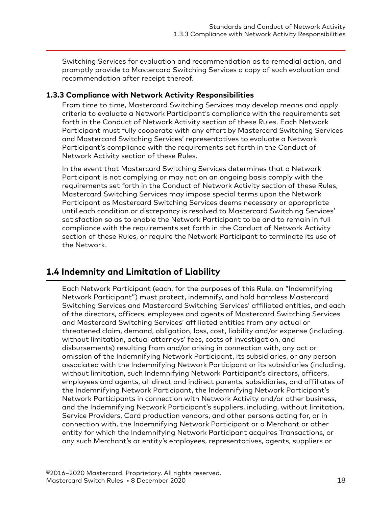<span id="page-17-0"></span>Switching Services for evaluation and recommendation as to remedial action, and promptly provide to Mastercard Switching Services a copy of such evaluation and recommendation after receipt thereof.

#### **1.3.3 Compliance with Network Activity Responsibilities**

From time to time, Mastercard Switching Services may develop means and apply criteria to evaluate a Network Participant's compliance with the requirements set forth in the Conduct of Network Activity section of these Rules. Each Network Participant must fully cooperate with any effort by Mastercard Switching Services and Mastercard Switching Services' representatives to evaluate a Network Participant's compliance with the requirements set forth in the Conduct of Network Activity section of these Rules.

In the event that Mastercard Switching Services determines that a Network Participant is not complying or may not on an ongoing basis comply with the requirements set forth in the Conduct of Network Activity section of these Rules, Mastercard Switching Services may impose special terms upon the Network Participant as Mastercard Switching Services deems necessary or appropriate until each condition or discrepancy is resolved to Mastercard Switching Services' satisfaction so as to enable the Network Participant to be and to remain in full compliance with the requirements set forth in the Conduct of Network Activity section of these Rules, or require the Network Participant to terminate its use of the Network.

# **1.4 Indemnity and Limitation of Liability**

Each Network Participant (each, for the purposes of this Rule, an "Indemnifying Network Participant") must protect, indemnify, and hold harmless Mastercard Switching Services and Mastercard Switching Services' affiliated entities, and each of the directors, officers, employees and agents of Mastercard Switching Services and Mastercard Switching Services' affiliated entities from any actual or threatened claim, demand, obligation, loss, cost, liability and/or expense (including, without limitation, actual attorneys' fees, costs of investigation, and disbursements) resulting from and/or arising in connection with, any act or omission of the Indemnifying Network Participant, its subsidiaries, or any person associated with the Indemnifying Network Participant or its subsidiaries (including, without limitation, such Indemnifying Network Participant's directors, officers, employees and agents, all direct and indirect parents, subsidiaries, and affiliates of the Indemnifying Network Participant, the Indemnifying Network Participant's Network Participants in connection with Network Activity and/or other business, and the Indemnifying Network Participant's suppliers, including, without limitation, Service Providers, Card production vendors, and other persons acting for, or in connection with, the Indemnifying Network Participant or a Merchant or other entity for which the Indemnifying Network Participant acquires Transactions, or any such Merchant's or entity's employees, representatives, agents, suppliers or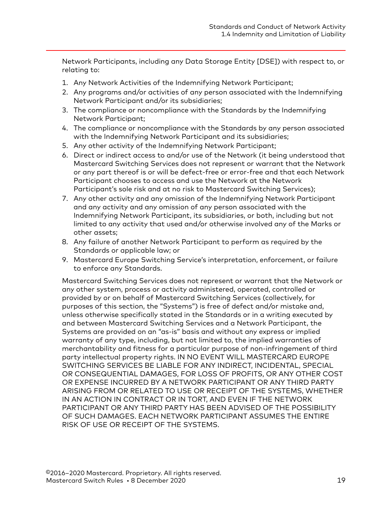Network Participants, including any Data Storage Entity [DSE]) with respect to, or relating to:

- 1. Any Network Activities of the Indemnifying Network Participant;
- 2. Any programs and/or activities of any person associated with the Indemnifying Network Participant and/or its subsidiaries;
- 3. The compliance or noncompliance with the Standards by the Indemnifying Network Participant;
- 4. The compliance or noncompliance with the Standards by any person associated with the Indemnifying Network Participant and its subsidiaries;
- 5. Any other activity of the Indemnifying Network Participant;
- 6. Direct or indirect access to and/or use of the Network (it being understood that Mastercard Switching Services does not represent or warrant that the Network or any part thereof is or will be defect-free or error-free and that each Network Participant chooses to access and use the Network at the Network Participant's sole risk and at no risk to Mastercard Switching Services);
- 7. Any other activity and any omission of the Indemnifying Network Participant and any activity and any omission of any person associated with the Indemnifying Network Participant, its subsidiaries, or both, including but not limited to any activity that used and/or otherwise involved any of the Marks or other assets;
- 8. Any failure of another Network Participant to perform as required by the Standards or applicable law; or
- 9. Mastercard Europe Switching Service's interpretation, enforcement, or failure to enforce any Standards.

Mastercard Switching Services does not represent or warrant that the Network or any other system, process or activity administered, operated, controlled or provided by or on behalf of Mastercard Switching Services (collectively, for purposes of this section, the "Systems") is free of defect and/or mistake and, unless otherwise specifically stated in the Standards or in a writing executed by and between Mastercard Switching Services and a Network Participant, the Systems are provided on an "as-is" basis and without any express or implied warranty of any type, including, but not limited to, the implied warranties of merchantability and fitness for a particular purpose of non-infringement of third party intellectual property rights. IN NO EVENT WILL MASTERCARD EUROPE SWITCHING SERVICES BE LIABLE FOR ANY INDIRECT, INCIDENTAL, SPECIAL OR CONSEQUENTIAL DAMAGES, FOR LOSS OF PROFITS, OR ANY OTHER COST OR EXPENSE INCURRED BY A NETWORK PARTICIPANT OR ANY THIRD PARTY ARISING FROM OR RELATED TO USE OR RECEIPT OF THE SYSTEMS, WHETHER IN AN ACTION IN CONTRACT OR IN TORT, AND EVEN IF THE NETWORK PARTICIPANT OR ANY THIRD PARTY HAS BEEN ADVISED OF THE POSSIBILITY OF SUCH DAMAGES. EACH NETWORK PARTICIPANT ASSUMES THE ENTIRE RISK OF USE OR RECEIPT OF THE SYSTEMS.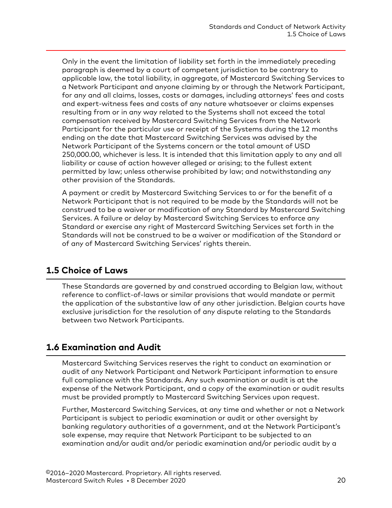<span id="page-19-0"></span>Only in the event the limitation of liability set forth in the immediately preceding paragraph is deemed by a court of competent jurisdiction to be contrary to applicable law, the total liability, in aggregate, of Mastercard Switching Services to a Network Participant and anyone claiming by or through the Network Participant, for any and all claims, losses, costs or damages, including attorneys' fees and costs and expert-witness fees and costs of any nature whatsoever or claims expenses resulting from or in any way related to the Systems shall not exceed the total compensation received by Mastercard Switching Services from the Network Participant for the particular use or receipt of the Systems during the 12 months ending on the date that Mastercard Switching Services was advised by the Network Participant of the Systems concern or the total amount of USD 250,000.00, whichever is less. It is intended that this limitation apply to any and all liability or cause of action however alleged or arising; to the fullest extent permitted by law; unless otherwise prohibited by law; and notwithstanding any other provision of the Standards.

A payment or credit by Mastercard Switching Services to or for the benefit of a Network Participant that is not required to be made by the Standards will not be construed to be a waiver or modification of any Standard by Mastercard Switching Services. A failure or delay by Mastercard Switching Services to enforce any Standard or exercise any right of Mastercard Switching Services set forth in the Standards will not be construed to be a waiver or modification of the Standard or of any of Mastercard Switching Services' rights therein.

### **1.5 Choice of Laws**

These Standards are governed by and construed according to Belgian law, without reference to conflict-of-laws or similar provisions that would mandate or permit the application of the substantive law of any other jurisdiction. Belgian courts have exclusive jurisdiction for the resolution of any dispute relating to the Standards between two Network Participants.

# **1.6 Examination and Audit**

Mastercard Switching Services reserves the right to conduct an examination or audit of any Network Participant and Network Participant information to ensure full compliance with the Standards. Any such examination or audit is at the expense of the Network Participant, and a copy of the examination or audit results must be provided promptly to Mastercard Switching Services upon request.

Further, Mastercard Switching Services, at any time and whether or not a Network Participant is subject to periodic examination or audit or other oversight by banking regulatory authorities of a government, and at the Network Participant's sole expense, may require that Network Participant to be subjected to an examination and/or audit and/or periodic examination and/or periodic audit by a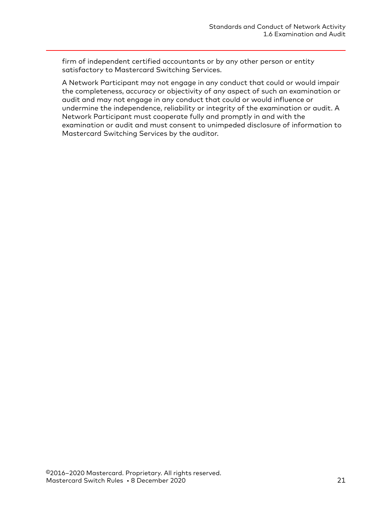firm of independent certified accountants or by any other person or entity satisfactory to Mastercard Switching Services.

A Network Participant may not engage in any conduct that could or would impair the completeness, accuracy or objectivity of any aspect of such an examination or audit and may not engage in any conduct that could or would influence or undermine the independence, reliability or integrity of the examination or audit. A Network Participant must cooperate fully and promptly in and with the examination or audit and must consent to unimpeded disclosure of information to Mastercard Switching Services by the auditor.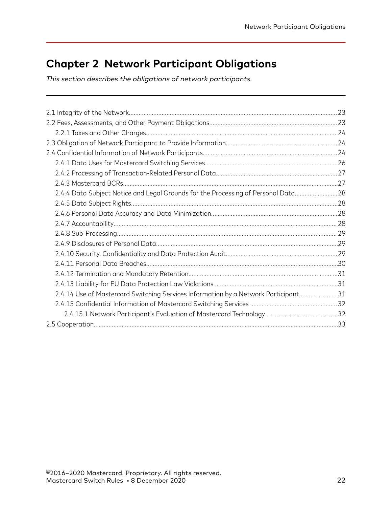# <span id="page-21-0"></span>**Chapter 2 Network Participant Obligations**

*This section describes the obligations of network participants.*

| 2.4.4 Data Subject Notice and Legal Grounds for the Processing of Personal Data 28  |  |
|-------------------------------------------------------------------------------------|--|
|                                                                                     |  |
|                                                                                     |  |
|                                                                                     |  |
|                                                                                     |  |
|                                                                                     |  |
|                                                                                     |  |
|                                                                                     |  |
|                                                                                     |  |
|                                                                                     |  |
| 2.4.14 Use of Mastercard Switching Services Information by a Network Participant 31 |  |
|                                                                                     |  |
|                                                                                     |  |
|                                                                                     |  |
|                                                                                     |  |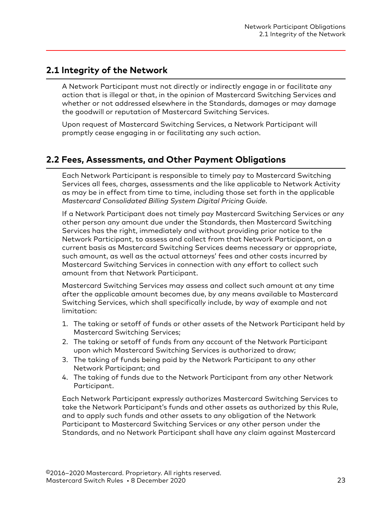## <span id="page-22-0"></span>**2.1 Integrity of the Network**

A Network Participant must not directly or indirectly engage in or facilitate any action that is illegal or that, in the opinion of Mastercard Switching Services and whether or not addressed elsewhere in the Standards, damages or may damage the goodwill or reputation of Mastercard Switching Services.

Upon request of Mastercard Switching Services, a Network Participant will promptly cease engaging in or facilitating any such action.

# **2.2 Fees, Assessments, and Other Payment Obligations**

Each Network Participant is responsible to timely pay to Mastercard Switching Services all fees, charges, assessments and the like applicable to Network Activity as may be in effect from time to time, including those set forth in the applicable *Mastercard Consolidated Billing System Digital Pricing Guide*.

If a Network Participant does not timely pay Mastercard Switching Services or any other person any amount due under the Standards, then Mastercard Switching Services has the right, immediately and without providing prior notice to the Network Participant, to assess and collect from that Network Participant, on a current basis as Mastercard Switching Services deems necessary or appropriate, such amount, as well as the actual attorneys' fees and other costs incurred by Mastercard Switching Services in connection with any effort to collect such amount from that Network Participant.

Mastercard Switching Services may assess and collect such amount at any time after the applicable amount becomes due, by any means available to Mastercard Switching Services, which shall specifically include, by way of example and not limitation:

- 1. The taking or setoff of funds or other assets of the Network Participant held by Mastercard Switching Services;
- 2. The taking or setoff of funds from any account of the Network Participant upon which Mastercard Switching Services is authorized to draw;
- 3. The taking of funds being paid by the Network Participant to any other Network Participant; and
- 4. The taking of funds due to the Network Participant from any other Network Participant.

Each Network Participant expressly authorizes Mastercard Switching Services to take the Network Participant's funds and other assets as authorized by this Rule, and to apply such funds and other assets to any obligation of the Network Participant to Mastercard Switching Services or any other person under the Standards, and no Network Participant shall have any claim against Mastercard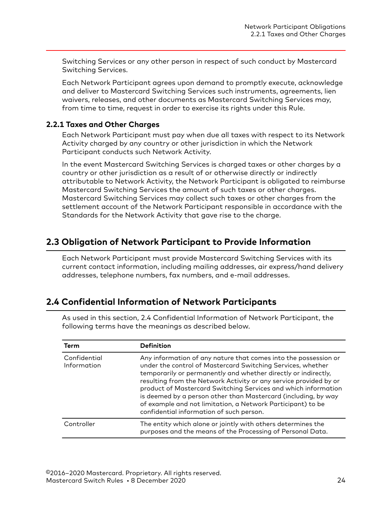<span id="page-23-0"></span>Switching Services or any other person in respect of such conduct by Mastercard Switching Services.

Each Network Participant agrees upon demand to promptly execute, acknowledge and deliver to Mastercard Switching Services such instruments, agreements, lien waivers, releases, and other documents as Mastercard Switching Services may, from time to time, request in order to exercise its rights under this Rule.

#### **2.2.1 Taxes and Other Charges**

Each Network Participant must pay when due all taxes with respect to its Network Activity charged by any country or other jurisdiction in which the Network Participant conducts such Network Activity.

In the event Mastercard Switching Services is charged taxes or other charges by a country or other jurisdiction as a result of or otherwise directly or indirectly attributable to Network Activity, the Network Participant is obligated to reimburse Mastercard Switching Services the amount of such taxes or other charges. Mastercard Switching Services may collect such taxes or other charges from the settlement account of the Network Participant responsible in accordance with the Standards for the Network Activity that gave rise to the charge.

# **2.3 Obligation of Network Participant to Provide Information**

Each Network Participant must provide Mastercard Switching Services with its current contact information, including mailing addresses, air express/hand delivery addresses, telephone numbers, fax numbers, and e-mail addresses.

### **2.4 Confidential Information of Network Participants**

As used in this section, 2.4 Confidential Information of Network Participant, the following terms have the meanings as described below.

| Term                        | <b>Definition</b>                                                                                                                                                                                                                                                                                                                                                                                                                                                                                                    |
|-----------------------------|----------------------------------------------------------------------------------------------------------------------------------------------------------------------------------------------------------------------------------------------------------------------------------------------------------------------------------------------------------------------------------------------------------------------------------------------------------------------------------------------------------------------|
| Confidential<br>Information | Any information of any nature that comes into the possession or<br>under the control of Mastercard Switching Services, whether<br>temporarily or permanently and whether directly or indirectly,<br>resulting from the Network Activity or any service provided by or<br>product of Mastercard Switching Services and which information<br>is deemed by a person other than Mastercard (including, by way<br>of example and not limitation, a Network Participant) to be<br>confidential information of such person. |
| Controller                  | The entity which alone or jointly with others determines the<br>purposes and the means of the Processing of Personal Data.                                                                                                                                                                                                                                                                                                                                                                                           |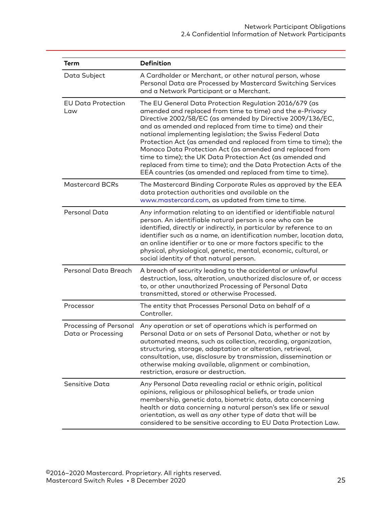| <b>Term</b>                                  | <b>Definition</b>                                                                                                                                                                                                                                                                                                                                                                                                                                                                                                                                                                                                                        |
|----------------------------------------------|------------------------------------------------------------------------------------------------------------------------------------------------------------------------------------------------------------------------------------------------------------------------------------------------------------------------------------------------------------------------------------------------------------------------------------------------------------------------------------------------------------------------------------------------------------------------------------------------------------------------------------------|
| Data Subject                                 | A Cardholder or Merchant, or other natural person, whose<br>Personal Data are Processed by Mastercard Switching Services<br>and a Network Participant or a Merchant.                                                                                                                                                                                                                                                                                                                                                                                                                                                                     |
| <b>EU Data Protection</b><br>Law             | The EU General Data Protection Regulation 2016/679 (as<br>amended and replaced from time to time) and the e-Privacy<br>Directive 2002/58/EC (as amended by Directive 2009/136/EC,<br>and as amended and replaced from time to time) and their<br>national implementing legislation; the Swiss Federal Data<br>Protection Act (as amended and replaced from time to time); the<br>Monaco Data Protection Act (as amended and replaced from<br>time to time); the UK Data Protection Act (as amended and<br>replaced from time to time); and the Data Protection Acts of the<br>EEA countries (as amended and replaced from time to time). |
| <b>Mastercard BCRs</b>                       | The Mastercard Binding Corporate Rules as approved by the EEA<br>data protection authorities and available on the<br>www.mastercard.com, as updated from time to time.                                                                                                                                                                                                                                                                                                                                                                                                                                                                   |
| Personal Data                                | Any information relating to an identified or identifiable natural<br>person. An identifiable natural person is one who can be<br>identified, directly or indirectly, in particular by reference to an<br>identifier such as a name, an identification number, location data,<br>an online identifier or to one or more factors specific to the<br>physical, physiological, genetic, mental, economic, cultural, or<br>social identity of that natural person.                                                                                                                                                                            |
| Personal Data Breach                         | A breach of security leading to the accidental or unlawful<br>destruction, loss, alteration, unauthorized disclosure of, or access<br>to, or other unauthorized Processing of Personal Data<br>transmitted, stored or otherwise Processed.                                                                                                                                                                                                                                                                                                                                                                                               |
| Processor                                    | The entity that Processes Personal Data on behalf of a<br>Controller.                                                                                                                                                                                                                                                                                                                                                                                                                                                                                                                                                                    |
| Processing of Personal<br>Data or Processing | Any operation or set of operations which is performed on<br>Personal Data or on sets of Personal Data, whether or not by<br>automated means, such as collection, recording, organization,<br>structuring, storage, adaptation or alteration, retrieval,<br>consultation, use, disclosure by transmission, dissemination or<br>otherwise making available, alignment or combination,<br>restriction, erasure or destruction.                                                                                                                                                                                                              |
| Sensitive Data                               | Any Personal Data revealing racial or ethnic origin, political<br>opinions, religious or philosophical beliefs, or trade union<br>membership, genetic data, biometric data, data concerning<br>health or data concerning a natural person's sex life or sexual<br>orientation, as well as any other type of data that will be<br>considered to be sensitive according to EU Data Protection Law.                                                                                                                                                                                                                                         |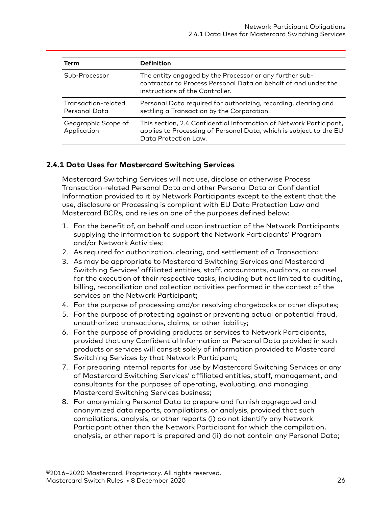<span id="page-25-0"></span>

| Term                                 | <b>Definition</b>                                                                                                                                                |
|--------------------------------------|------------------------------------------------------------------------------------------------------------------------------------------------------------------|
| Sub-Processor                        | The entity engaged by the Processor or any further sub-<br>contractor to Process Personal Data on behalf of and under the<br>instructions of the Controller.     |
| Transaction-related<br>Personal Data | Personal Data required for authorizing, recording, clearing and<br>settling a Transaction by the Corporation.                                                    |
| Geographic Scope of<br>Application   | This section, 2.4 Confidential Information of Network Participant,<br>applies to Processing of Personal Data, which is subject to the EU<br>Data Protection Law. |

#### **2.4.1 Data Uses for Mastercard Switching Services**

Mastercard Switching Services will not use, disclose or otherwise Process Transaction-related Personal Data and other Personal Data or Confidential Information provided to it by Network Participants except to the extent that the use, disclosure or Processing is compliant with EU Data Protection Law and Mastercard BCRs, and relies on one of the purposes defined below:

- 1. For the benefit of, on behalf and upon instruction of the Network Participants supplying the information to support the Network Participants' Program and/or Network Activities;
- 2. As required for authorization, clearing, and settlement of a Transaction;
- 3. As may be appropriate to Mastercard Switching Services and Mastercard Switching Services' affiliated entities, staff, accountants, auditors, or counsel for the execution of their respective tasks, including but not limited to auditing, billing, reconciliation and collection activities performed in the context of the services on the Network Participant;
- 4. For the purpose of processing and/or resolving chargebacks or other disputes;
- 5. For the purpose of protecting against or preventing actual or potential fraud, unauthorized transactions, claims, or other liability;
- 6. For the purpose of providing products or services to Network Participants, provided that any Confidential Information or Personal Data provided in such products or services will consist solely of information provided to Mastercard Switching Services by that Network Participant;
- 7. For preparing internal reports for use by Mastercard Switching Services or any of Mastercard Switching Services' affiliated entities, staff, management, and consultants for the purposes of operating, evaluating, and managing Mastercard Switching Services business;
- 8. For anonymizing Personal Data to prepare and furnish aggregated and anonymized data reports, compilations, or analysis, provided that such compilations, analysis, or other reports (i) do not identify any Network Participant other than the Network Participant for which the compilation, analysis, or other report is prepared and (ii) do not contain any Personal Data;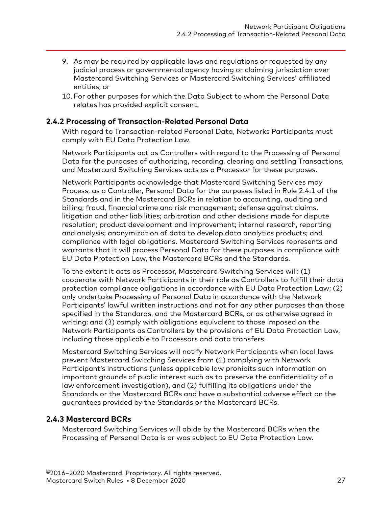- <span id="page-26-0"></span>9. As may be required by applicable laws and regulations or requested by any judicial process or governmental agency having or claiming jurisdiction over Mastercard Switching Services or Mastercard Switching Services' affiliated entities; or
- 10. For other purposes for which the Data Subject to whom the Personal Data relates has provided explicit consent.

#### **2.4.2 Processing of Transaction-Related Personal Data**

With regard to Transaction-related Personal Data, Networks Participants must comply with EU Data Protection Law.

Network Participants act as Controllers with regard to the Processing of Personal Data for the purposes of authorizing, recording, clearing and settling Transactions, and Mastercard Switching Services acts as a Processor for these purposes.

Network Participants acknowledge that Mastercard Switching Services may Process, as a Controller, Personal Data for the purposes listed in Rule 2.4.1 of the Standards and in the Mastercard BCRs in relation to accounting, auditing and billing; fraud, financial crime and risk management; defense against claims, litigation and other liabilities; arbitration and other decisions made for dispute resolution; product development and improvement; internal research, reporting and analysis; anonymization of data to develop data analytics products; and compliance with legal obligations. Mastercard Switching Services represents and warrants that it will process Personal Data for these purposes in compliance with EU Data Protection Law, the Mastercard BCRs and the Standards.

To the extent it acts as Processor, Mastercard Switching Services will: (1) cooperate with Network Participants in their role as Controllers to fulfill their data protection compliance obligations in accordance with EU Data Protection Law; (2) only undertake Processing of Personal Data in accordance with the Network Participants' lawful written instructions and not for any other purposes than those specified in the Standards, and the Mastercard BCRs, or as otherwise agreed in writing; and (3) comply with obligations equivalent to those imposed on the Network Participants as Controllers by the provisions of EU Data Protection Law, including those applicable to Processors and data transfers.

Mastercard Switching Services will notify Network Participants when local laws prevent Mastercard Switching Services from (1) complying with Network Participant's instructions (unless applicable law prohibits such information on important grounds of public interest such as to preserve the confidentiality of a law enforcement investigation), and (2) fulfilling its obligations under the Standards or the Mastercard BCRs and have a substantial adverse effect on the guarantees provided by the Standards or the Mastercard BCRs.

#### **2.4.3 Mastercard BCRs**

Mastercard Switching Services will abide by the Mastercard BCRs when the Processing of Personal Data is or was subject to EU Data Protection Law.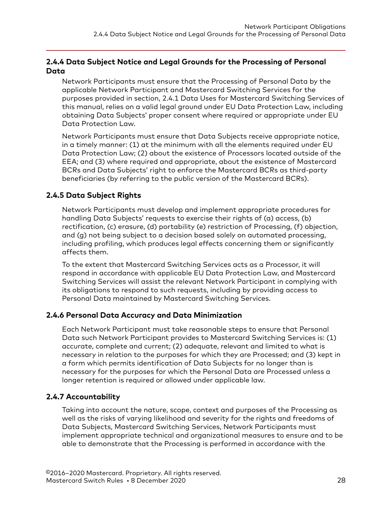### <span id="page-27-0"></span>**2.4.4 Data Subject Notice and Legal Grounds for the Processing of Personal Data**

Network Participants must ensure that the Processing of Personal Data by the applicable Network Participant and Mastercard Switching Services for the purposes provided in section, 2.4.1 Data Uses for Mastercard Switching Services of this manual, relies on a valid legal ground under EU Data Protection Law, including obtaining Data Subjects' proper consent where required or appropriate under EU Data Protection Law.

Network Participants must ensure that Data Subjects receive appropriate notice, in a timely manner: (1) at the minimum with all the elements required under EU Data Protection Law; (2) about the existence of Processors located outside of the EEA; and (3) where required and appropriate, about the existence of Mastercard BCRs and Data Subjects' right to enforce the Mastercard BCRs as third-party beneficiaries (by referring to the public version of the Mastercard BCRs).

### **2.4.5 Data Subject Rights**

Network Participants must develop and implement appropriate procedures for handling Data Subjects' requests to exercise their rights of (a) access, (b) rectification, (c) erasure, (d) portability (e) restriction of Processing, (f) objection, and (g) not being subject to a decision based solely on automated processing, including profiling, which produces legal effects concerning them or significantly affects them.

To the extent that Mastercard Switching Services acts as a Processor, it will respond in accordance with applicable EU Data Protection Law, and Mastercard Switching Services will assist the relevant Network Participant in complying with its obligations to respond to such requests, including by providing access to Personal Data maintained by Mastercard Switching Services.

#### **2.4.6 Personal Data Accuracy and Data Minimization**

Each Network Participant must take reasonable steps to ensure that Personal Data such Network Participant provides to Mastercard Switching Services is: (1) accurate, complete and current; (2) adequate, relevant and limited to what is necessary in relation to the purposes for which they are Processed; and (3) kept in a form which permits identification of Data Subjects for no longer than is necessary for the purposes for which the Personal Data are Processed unless a longer retention is required or allowed under applicable law.

#### **2.4.7 Accountability**

Taking into account the nature, scope, context and purposes of the Processing as well as the risks of varying likelihood and severity for the rights and freedoms of Data Subjects, Mastercard Switching Services, Network Participants must implement appropriate technical and organizational measures to ensure and to be able to demonstrate that the Processing is performed in accordance with the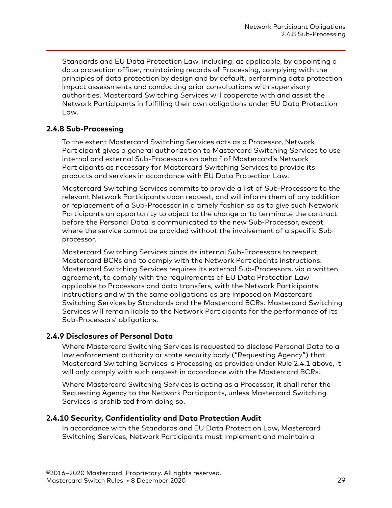<span id="page-28-0"></span>Standards and EU Data Protection Law, including, as applicable, by appointing a data protection officer, maintaining records of Processing, complying with the principles of data protection by design and by default, performing data protection impact assessments and conducting prior consultations with supervisory authorities. Mastercard Switching Services will cooperate with and assist the Network Participants in fulfilling their own obligations under EU Data Protection Law.

#### **2.4.8 Sub-Processing**

To the extent Mastercard Switching Services acts as a Processor, Network Participant gives a general authorization to Mastercard Switching Services to use internal and external Sub-Processors on behalf of Mastercard's Network Participants as necessary for Mastercard Switching Services to provide its products and services in accordance with EU Data Protection Law.

Mastercard Switching Services commits to provide a list of Sub-Processors to the relevant Network Participants upon request, and will inform them of any addition or replacement of a Sub-Processor in a timely fashion so as to give such Network Participants an opportunity to object to the change or to terminate the contract before the Personal Data is communicated to the new Sub-Processor, except where the service cannot be provided without the involvement of a specific Subprocessor.

Mastercard Switching Services binds its internal Sub-Processors to respect Mastercard BCRs and to comply with the Network Participants instructions. Mastercard Switching Services requires its external Sub-Processors, via a written agreement, to comply with the requirements of EU Data Protection Law applicable to Processors and data transfers, with the Network Participants instructions and with the same obligations as are imposed on Mastercard Switching Services by Standards and the Mastercard BCRs. Mastercard Switching Services will remain liable to the Network Participants for the performance of its Sub-Processors' obligations.

#### **2.4.9 Disclosures of Personal Data**

Where Mastercard Switching Services is requested to disclose Personal Data to a law enforcement authority or state security body ("Requesting Agency") that Mastercard Switching Services is Processing as provided under Rule 2.4.1 above, it will only comply with such request in accordance with the Mastercard BCRs.

Where Mastercard Switching Services is acting as a Processor, it shall refer the Requesting Agency to the Network Participants, unless Mastercard Switching Services is prohibited from doing so.

#### **2.4.10 Security, Confidentiality and Data Protection Audit**

In accordance with the Standards and EU Data Protection Law, Mastercard Switching Services, Network Participants must implement and maintain a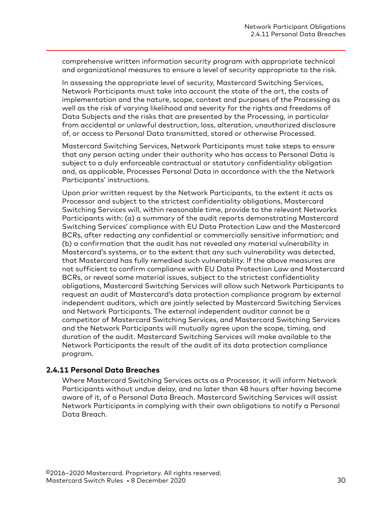<span id="page-29-0"></span>comprehensive written information security program with appropriate technical and organizational measures to ensure a level of security appropriate to the risk.

In assessing the appropriate level of security, Mastercard Switching Services, Network Participants must take into account the state of the art, the costs of implementation and the nature, scope, context and purposes of the Processing as well as the risk of varying likelihood and severity for the rights and freedoms of Data Subjects and the risks that are presented by the Processing, in particular from accidental or unlawful destruction, loss, alteration, unauthorized disclosure of, or access to Personal Data transmitted, stored or otherwise Processed.

Mastercard Switching Services, Network Participants must take steps to ensure that any person acting under their authority who has access to Personal Data is subject to a duly enforceable contractual or statutory confidentiality obligation and, as applicable, Processes Personal Data in accordance with the the Network Participants' instructions.

Upon prior written request by the Network Participants, to the extent it acts as Processor and subject to the strictest confidentiality obligations, Mastercard Switching Services will, within reasonable time, provide to the relevant Networks Participants with: (a) a summary of the audit reports demonstrating Mastercard Switching Services' compliance with EU Data Protection Law and the Mastercard BCRs, after redacting any confidential or commercially sensitive information; and (b) a confirmation that the audit has not revealed any material vulnerability in Mastercard's systems, or to the extent that any such vulnerability was detected, that Mastercard has fully remedied such vulnerability. If the above measures are not sufficient to confirm compliance with EU Data Protection Law and Mastercard BCRs, or reveal some material issues, subject to the strictest confidentiality obligations, Mastercard Switching Services will allow such Network Participants to request an audit of Mastercard's data protection compliance program by external independent auditors, which are jointly selected by Mastercard Switching Services and Network Participants. The external independent auditor cannot be a competitor of Mastercard Switching Services, and Mastercard Switching Services and the Network Participants will mutually agree upon the scope, timing, and duration of the audit. Mastercard Switching Services will make available to the Network Participants the result of the audit of its data protection compliance program.

#### **2.4.11 Personal Data Breaches**

Where Mastercard Switching Services acts as a Processor, it will inform Network Participants without undue delay, and no later than 48 hours after having become aware of it, of a Personal Data Breach. Mastercard Switching Services will assist Network Participants in complying with their own obligations to notify a Personal Data Breach.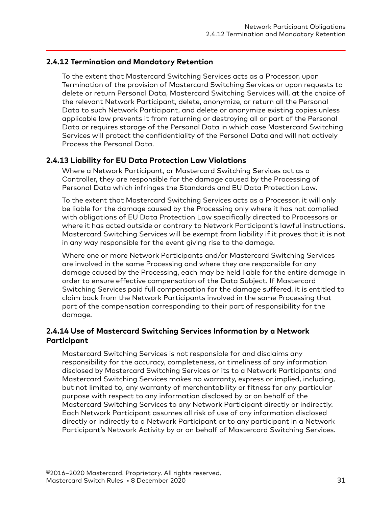#### <span id="page-30-0"></span>**2.4.12 Termination and Mandatory Retention**

To the extent that Mastercard Switching Services acts as a Processor, upon Termination of the provision of Mastercard Switching Services or upon requests to delete or return Personal Data, Mastercard Switching Services will, at the choice of the relevant Network Participant, delete, anonymize, or return all the Personal Data to such Network Participant, and delete or anonymize existing copies unless applicable law prevents it from returning or destroying all or part of the Personal Data or requires storage of the Personal Data in which case Mastercard Switching Services will protect the confidentiality of the Personal Data and will not actively Process the Personal Data.

#### **2.4.13 Liability for EU Data Protection Law Violations**

Where a Network Participant, or Mastercard Switching Services act as a Controller, they are responsible for the damage caused by the Processing of Personal Data which infringes the Standards and EU Data Protection Law.

To the extent that Mastercard Switching Services acts as a Processor, it will only be liable for the damage caused by the Processing only where it has not complied with obligations of EU Data Protection Law specifically directed to Processors or where it has acted outside or contrary to Network Participant's lawful instructions. Mastercard Switching Services will be exempt from liability if it proves that it is not in any way responsible for the event giving rise to the damage.

Where one or more Network Participants and/or Mastercard Switching Services are involved in the same Processing and where they are responsible for any damage caused by the Processing, each may be held liable for the entire damage in order to ensure effective compensation of the Data Subject. If Mastercard Switching Services paid full compensation for the damage suffered, it is entitled to claim back from the Network Participants involved in the same Processing that part of the compensation corresponding to their part of responsibility for the damage.

#### **2.4.14 Use of Mastercard Switching Services Information by a Network Participant**

Mastercard Switching Services is not responsible for and disclaims any responsibility for the accuracy, completeness, or timeliness of any information disclosed by Mastercard Switching Services or its to a Network Participants; and Mastercard Switching Services makes no warranty, express or implied, including, but not limited to, any warranty of merchantability or fitness for any particular purpose with respect to any information disclosed by or on behalf of the Mastercard Switching Services to any Network Participant directly or indirectly. Each Network Participant assumes all risk of use of any information disclosed directly or indirectly to a Network Participant or to any participant in a Network Participant's Network Activity by or on behalf of Mastercard Switching Services.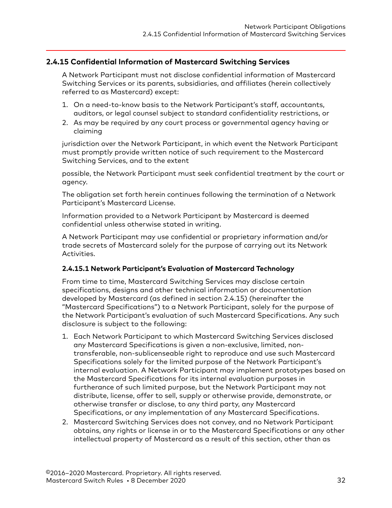#### <span id="page-31-0"></span>**2.4.15 Confidential Information of Mastercard Switching Services**

A Network Participant must not disclose confidential information of Mastercard Switching Services or its parents, subsidiaries, and affiliates (herein collectively referred to as Mastercard) except:

- 1. On a need-to-know basis to the Network Participant's staff, accountants, auditors, or legal counsel subject to standard confidentiality restrictions, or
- 2. As may be required by any court process or governmental agency having or claiming

jurisdiction over the Network Participant, in which event the Network Participant must promptly provide written notice of such requirement to the Mastercard Switching Services, and to the extent

possible, the Network Participant must seek confidential treatment by the court or agency.

The obligation set forth herein continues following the termination of a Network Participant's Mastercard License.

Information provided to a Network Participant by Mastercard is deemed confidential unless otherwise stated in writing.

A Network Participant may use confidential or proprietary information and/or trade secrets of Mastercard solely for the purpose of carrying out its Network Activities.

#### **2.4.15.1 Network Participant's Evaluation of Mastercard Technology**

From time to time, Mastercard Switching Services may disclose certain specifications, designs and other technical information or documentation developed by Mastercard (as defined in section 2.4.15) (hereinafter the "Mastercard Specifications") to a Network Participant, solely for the purpose of the Network Participant's evaluation of such Mastercard Specifications. Any such disclosure is subject to the following:

- 1. Each Network Participant to which Mastercard Switching Services disclosed any Mastercard Specifications is given a non-exclusive, limited, nontransferable, non-sublicenseable right to reproduce and use such Mastercard Specifications solely for the limited purpose of the Network Participant's internal evaluation. A Network Participant may implement prototypes based on the Mastercard Specifications for its internal evaluation purposes in furtherance of such limited purpose, but the Network Participant may not distribute, license, offer to sell, supply or otherwise provide, demonstrate, or otherwise transfer or disclose, to any third party, any Mastercard Specifications, or any implementation of any Mastercard Specifications.
- 2. Mastercard Switching Services does not convey, and no Network Participant obtains, any rights or license in or to the Mastercard Specifications or any other intellectual property of Mastercard as a result of this section, other than as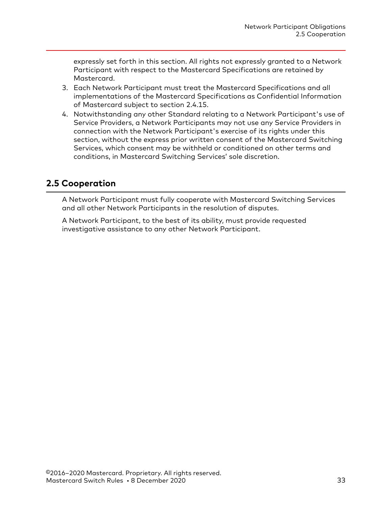<span id="page-32-0"></span>expressly set forth in this section. All rights not expressly granted to a Network Participant with respect to the Mastercard Specifications are retained by Mastercard.

- 3. Each Network Participant must treat the Mastercard Specifications and all implementations of the Mastercard Specifications as Confidential Information of Mastercard subject to section 2.4.15.
- 4. Notwithstanding any other Standard relating to a Network Participant's use of Service Providers, a Network Participants may not use any Service Providers in connection with the Network Participant's exercise of its rights under this section, without the express prior written consent of the Mastercard Switching Services, which consent may be withheld or conditioned on other terms and conditions, in Mastercard Switching Services' sole discretion.

# **2.5 Cooperation**

A Network Participant must fully cooperate with Mastercard Switching Services and all other Network Participants in the resolution of disputes.

A Network Participant, to the best of its ability, must provide requested investigative assistance to any other Network Participant.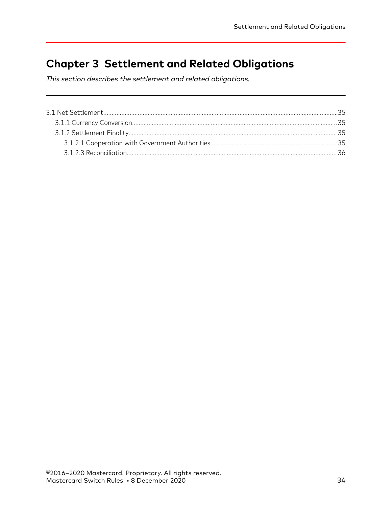# <span id="page-33-0"></span>**Chapter 3 Settlement and Related Obligations**

*This section describes the settlement and related obligations.*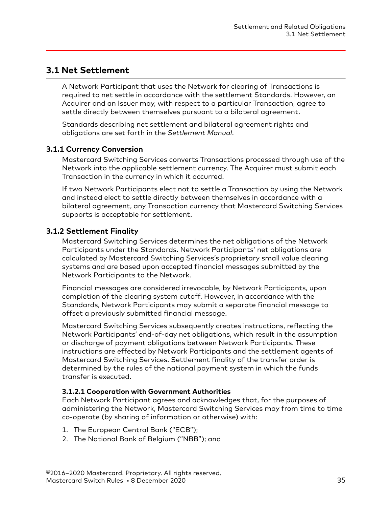# <span id="page-34-0"></span>**3.1 Net Settlement**

A Network Participant that uses the Network for clearing of Transactions is required to net settle in accordance with the settlement Standards. However, an Acquirer and an Issuer may, with respect to a particular Transaction, agree to settle directly between themselves pursuant to a bilateral agreement.

Standards describing net settlement and bilateral agreement rights and obligations are set forth in the *Settlement Manual*.

#### **3.1.1 Currency Conversion**

Mastercard Switching Services converts Transactions processed through use of the Network into the applicable settlement currency. The Acquirer must submit each Transaction in the currency in which it occurred.

If two Network Participants elect not to settle a Transaction by using the Network and instead elect to settle directly between themselves in accordance with a bilateral agreement, any Transaction currency that Mastercard Switching Services supports is acceptable for settlement.

#### **3.1.2 Settlement Finality**

Mastercard Switching Services determines the net obligations of the Network Participants under the Standards. Network Participants' net obligations are calculated by Mastercard Switching Services's proprietary small value clearing systems and are based upon accepted financial messages submitted by the Network Participants to the Network.

Financial messages are considered irrevocable, by Network Participants, upon completion of the clearing system cutoff. However, in accordance with the Standards, Network Participants may submit a separate financial message to offset a previously submitted financial message.

Mastercard Switching Services subsequently creates instructions, reflecting the Network Participants' end-of-day net obligations, which result in the assumption or discharge of payment obligations between Network Participants. These instructions are effected by Network Participants and the settlement agents of Mastercard Switching Services. Settlement finality of the transfer order is determined by the rules of the national payment system in which the funds transfer is executed.

#### **3.1.2.1 Cooperation with Government Authorities**

Each Network Participant agrees and acknowledges that, for the purposes of administering the Network, Mastercard Switching Services may from time to time co-operate (by sharing of information or otherwise) with:

- 1. The European Central Bank ("ECB");
- 2. The National Bank of Belgium ("NBB"); and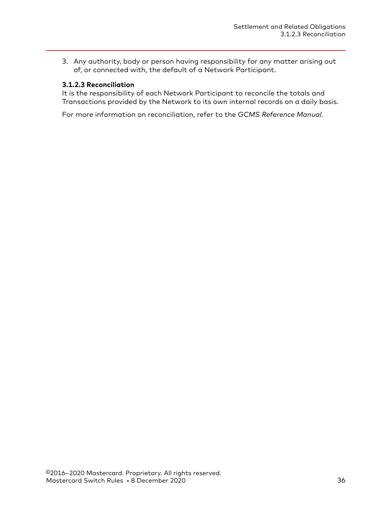<span id="page-35-0"></span>3. Any authority, body or person having responsibility for any matter arising out of, or connected with, the default of a Network Participant.

#### **3.1.2.3 Reconciliation**

It is the responsibility of each Network Participant to reconcile the totals and Transactions provided by the Network to its own internal records on a daily basis.

For more information on reconciliation, refer to the *GCMS Reference Manual*.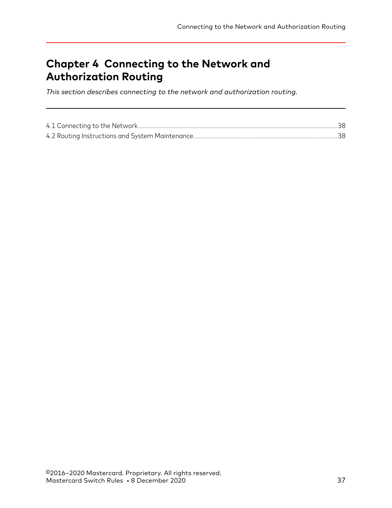# **Chapter 4 Connecting to the Network and Authorization Routing**

*This section describes connecting to the network and authorization routing.*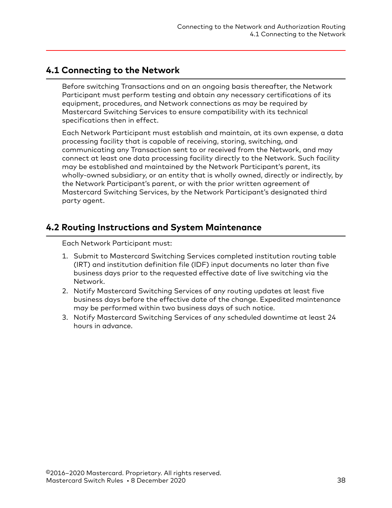# <span id="page-37-0"></span>**4.1 Connecting to the Network**

Before switching Transactions and on an ongoing basis thereafter, the Network Participant must perform testing and obtain any necessary certifications of its equipment, procedures, and Network connections as may be required by Mastercard Switching Services to ensure compatibility with its technical specifications then in effect.

Each Network Participant must establish and maintain, at its own expense, a data processing facility that is capable of receiving, storing, switching, and communicating any Transaction sent to or received from the Network, and may connect at least one data processing facility directly to the Network. Such facility may be established and maintained by the Network Participant's parent, its wholly-owned subsidiary, or an entity that is wholly owned, directly or indirectly, by the Network Participant's parent, or with the prior written agreement of Mastercard Switching Services, by the Network Participant's designated third party agent.

# **4.2 Routing Instructions and System Maintenance**

Each Network Participant must:

- 1. Submit to Mastercard Switching Services completed institution routing table (IRT) and institution definition file (IDF) input documents no later than five business days prior to the requested effective date of live switching via the Network.
- 2. Notify Mastercard Switching Services of any routing updates at least five business days before the effective date of the change. Expedited maintenance may be performed within two business days of such notice.
- 3. Notify Mastercard Switching Services of any scheduled downtime at least 24 hours in advance.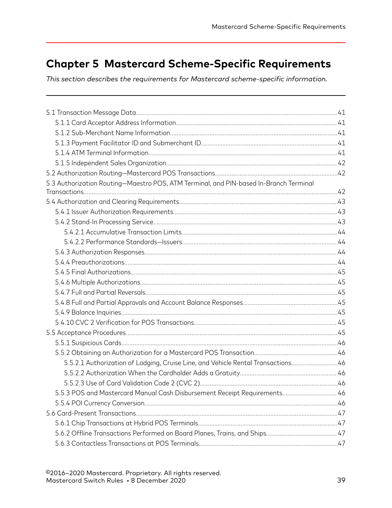# **Chapter 5 Mastercard Scheme-Specific Requirements**

*This section describes the requirements for Mastercard scheme-specific information.*

| 5.3 Authorization Routing-Maestro POS, ATM Terminal, and PIN-based In-Branch Terminal |  |
|---------------------------------------------------------------------------------------|--|
|                                                                                       |  |
|                                                                                       |  |
|                                                                                       |  |
|                                                                                       |  |
|                                                                                       |  |
|                                                                                       |  |
|                                                                                       |  |
|                                                                                       |  |
|                                                                                       |  |
|                                                                                       |  |
|                                                                                       |  |
|                                                                                       |  |
|                                                                                       |  |
|                                                                                       |  |
|                                                                                       |  |
|                                                                                       |  |
|                                                                                       |  |
| 5.5.2.1 Authorization of Lodging, Cruise Line, and Vehicle Rental Transactions 46     |  |
|                                                                                       |  |
|                                                                                       |  |
| 5.5.3 POS and Mastercard Manual Cash Disbursement Receipt Requirements 46             |  |
|                                                                                       |  |
|                                                                                       |  |
|                                                                                       |  |
|                                                                                       |  |
|                                                                                       |  |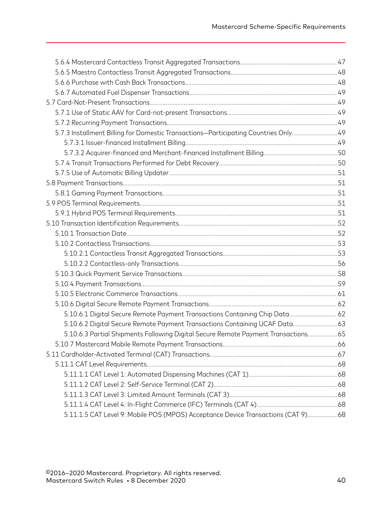| 5.7.3 Installment Billing for Domestic Transactions-Participating Countries Only 49 |  |
|-------------------------------------------------------------------------------------|--|
|                                                                                     |  |
|                                                                                     |  |
|                                                                                     |  |
|                                                                                     |  |
|                                                                                     |  |
|                                                                                     |  |
|                                                                                     |  |
|                                                                                     |  |
|                                                                                     |  |
|                                                                                     |  |
|                                                                                     |  |
|                                                                                     |  |
|                                                                                     |  |
|                                                                                     |  |
|                                                                                     |  |
|                                                                                     |  |
|                                                                                     |  |
| 5.10.6.1 Digital Secure Remote Payment Transactions Containing Chip Data 62         |  |
| 5.10.6.2 Digital Secure Remote Payment Transactions Containing UCAF Data 63         |  |
| 5.10.6.3 Partial Shipments Following Digital Secure Remote Payment Transactions 65  |  |
|                                                                                     |  |
|                                                                                     |  |
|                                                                                     |  |
|                                                                                     |  |
|                                                                                     |  |
|                                                                                     |  |
|                                                                                     |  |
| 5.11.1.5 CAT Level 9: Mobile POS (MPOS) Acceptance Device Transactions (CAT 9) 68   |  |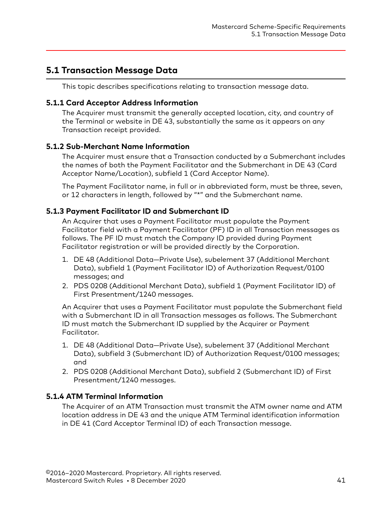# <span id="page-40-0"></span>**5.1 Transaction Message Data**

This topic describes specifications relating to transaction message data.

#### **5.1.1 Card Acceptor Address Information**

The Acquirer must transmit the generally accepted location, city, and country of the Terminal or website in DE 43, substantially the same as it appears on any Transaction receipt provided.

### **5.1.2 Sub-Merchant Name Information**

The Acquirer must ensure that a Transaction conducted by a Submerchant includes the names of both the Payment Facilitator and the Submerchant in DE 43 (Card Acceptor Name/Location), subfield 1 (Card Acceptor Name).

The Payment Facilitator name, in full or in abbreviated form, must be three, seven, or 12 characters in length, followed by "\*" and the Submerchant name.

### **5.1.3 Payment Facilitator ID and Submerchant ID**

An Acquirer that uses a Payment Facilitator must populate the Payment Facilitator field with a Payment Facilitator (PF) ID in all Transaction messages as follows. The PF ID must match the Company ID provided during Payment Facilitator registration or will be provided directly by the Corporation.

- 1. DE 48 (Additional Data—Private Use), subelement 37 (Additional Merchant Data), subfield 1 (Payment Facilitator ID) of Authorization Request/0100 messages; and
- 2. PDS 0208 (Additional Merchant Data), subfield 1 (Payment Facilitator ID) of First Presentment/1240 messages.

An Acquirer that uses a Payment Facilitator must populate the Submerchant field with a Submerchant ID in all Transaction messages as follows. The Submerchant ID must match the Submerchant ID supplied by the Acquirer or Payment Facilitator.

- 1. DE 48 (Additional Data—Private Use), subelement 37 (Additional Merchant Data), subfield 3 (Submerchant ID) of Authorization Request/0100 messages; and
- 2. PDS 0208 (Additional Merchant Data), subfield 2 (Submerchant ID) of First Presentment/1240 messages.

### **5.1.4 ATM Terminal Information**

The Acquirer of an ATM Transaction must transmit the ATM owner name and ATM location address in DE 43 and the unique ATM Terminal identification information in DE 41 (Card Acceptor Terminal ID) of each Transaction message.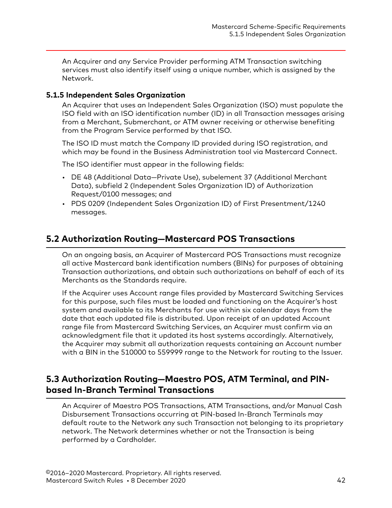<span id="page-41-0"></span>An Acquirer and any Service Provider performing ATM Transaction switching services must also identify itself using a unique number, which is assigned by the Network.

### **5.1.5 Independent Sales Organization**

An Acquirer that uses an Independent Sales Organization (ISO) must populate the ISO field with an ISO identification number (ID) in all Transaction messages arising from a Merchant, Submerchant, or ATM owner receiving or otherwise benefiting from the Program Service performed by that ISO.

The ISO ID must match the Company ID provided during ISO registration, and which may be found in the Business Administration tool via Mastercard Connect.

The ISO identifier must appear in the following fields:

- DE 48 (Additional Data—Private Use), subelement 37 (Additional Merchant Data), subfield 2 (Independent Sales Organization ID) of Authorization Request/0100 messages; and
- PDS 0209 (Independent Sales Organization ID) of First Presentment/1240 messages.

# **5.2 Authorization Routing—Mastercard POS Transactions**

On an ongoing basis, an Acquirer of Mastercard POS Transactions must recognize all active Mastercard bank identification numbers (BINs) for purposes of obtaining Transaction authorizations, and obtain such authorizations on behalf of each of its Merchants as the Standards require.

If the Acquirer uses Account range files provided by Mastercard Switching Services for this purpose, such files must be loaded and functioning on the Acquirer's host system and available to its Merchants for use within six calendar days from the date that each updated file is distributed. Upon receipt of an updated Account range file from Mastercard Switching Services, an Acquirer must confirm via an acknowledgment file that it updated its host systems accordingly. Alternatively, the Acquirer may submit all authorization requests containing an Account number with a BIN in the 510000 to 559999 range to the Network for routing to the Issuer.

# **5.3 Authorization Routing—Maestro POS, ATM Terminal, and PINbased In-Branch Terminal Transactions**

An Acquirer of Maestro POS Transactions, ATM Transactions, and/or Manual Cash Disbursement Transactions occurring at PIN-based In-Branch Terminals may default route to the Network any such Transaction not belonging to its proprietary network. The Network determines whether or not the Transaction is being performed by a Cardholder.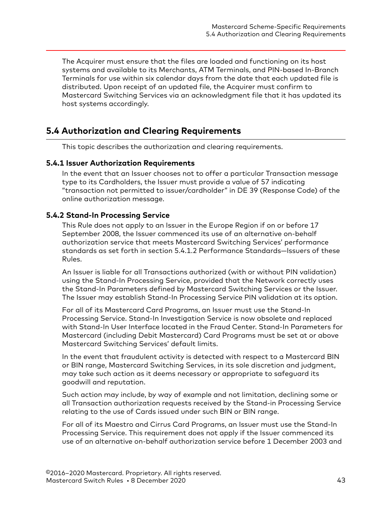<span id="page-42-0"></span>The Acquirer must ensure that the files are loaded and functioning on its host systems and available to its Merchants, ATM Terminals, and PIN-based In-Branch Terminals for use within six calendar days from the date that each updated file is distributed. Upon receipt of an updated file, the Acquirer must confirm to Mastercard Switching Services via an acknowledgment file that it has updated its host systems accordingly.

# **5.4 Authorization and Clearing Requirements**

This topic describes the authorization and clearing requirements.

#### **5.4.1 Issuer Authorization Requirements**

In the event that an Issuer chooses not to offer a particular Transaction message type to its Cardholders, the Issuer must provide a value of 57 indicating "transaction not permitted to issuer/cardholder" in DE 39 (Response Code) of the online authorization message.

### **5.4.2 Stand-In Processing Service**

This Rule does not apply to an Issuer in the Europe Region if on or before 17 September 2008, the Issuer commenced its use of an alternative on-behalf authorization service that meets Mastercard Switching Services' performance standards as set forth in section 5.4.1.2 Performance Standards—Issuers of these Rules.

An Issuer is liable for all Transactions authorized (with or without PIN validation) using the Stand-In Processing Service, provided that the Network correctly uses the Stand-In Parameters defined by Mastercard Switching Services or the Issuer. The Issuer may establish Stand-In Processing Service PIN validation at its option.

For all of its Mastercard Card Programs, an Issuer must use the Stand-In Processing Service. Stand-In Investigation Service is now obsolete and replaced with Stand-In User Interface located in the Fraud Center. Stand-In Parameters for Mastercard (including Debit Mastercard) Card Programs must be set at or above Mastercard Switching Services' default limits.

In the event that fraudulent activity is detected with respect to a Mastercard BIN or BIN range, Mastercard Switching Services, in its sole discretion and judgment, may take such action as it deems necessary or appropriate to safeguard its goodwill and reputation.

Such action may include, by way of example and not limitation, declining some or all Transaction authorization requests received by the Stand-in Processing Service relating to the use of Cards issued under such BIN or BIN range.

For all of its Maestro and Cirrus Card Programs, an Issuer must use the Stand-In Processing Service. This requirement does not apply if the Issuer commenced its use of an alternative on-behalf authorization service before 1 December 2003 and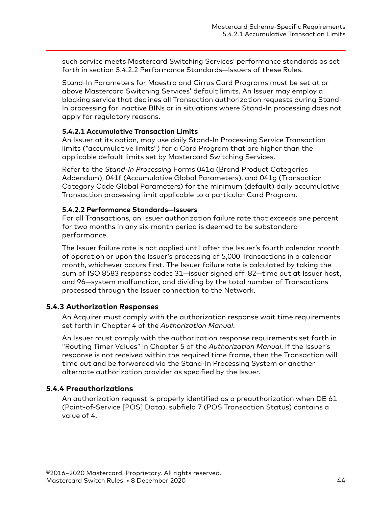<span id="page-43-0"></span>such service meets Mastercard Switching Services' performance standards as set forth in section 5.4.2.2 Performance Standards—Issuers of these Rules.

Stand-In Parameters for Maestro and Cirrus Card Programs must be set at or above Mastercard Switching Services' default limits. An Issuer may employ a blocking service that declines all Transaction authorization requests during Stand-In processing for inactive BINs or in situations where Stand-In processing does not apply for regulatory reasons.

#### **5.4.2.1 Accumulative Transaction Limits**

An Issuer at its option, may use daily Stand-In Processing Service Transaction limits ("accumulative limits") for a Card Program that are higher than the applicable default limits set by Mastercard Switching Services.

Refer to the *Stand-In Processing* Forms 041a (Brand Product Categories Addendum), 041f (Accumulative Global Parameters), and 041g (Transaction Category Code Global Parameters) for the minimum (default) daily accumulative Transaction processing limit applicable to a particular Card Program.

#### **5.4.2.2 Performance Standards—Issuers**

For all Transactions, an Issuer authorization failure rate that exceeds one percent for two months in any six-month period is deemed to be substandard performance.

The Issuer failure rate is not applied until after the Issuer's fourth calendar month of operation or upon the Issuer's processing of 5,000 Transactions in a calendar month, whichever occurs first. The Issuer failure rate is calculated by taking the sum of ISO 8583 response codes 31—issuer signed off, 82—time out at Issuer host, and 96—system malfunction, and dividing by the total number of Transactions processed through the Issuer connection to the Network.

#### **5.4.3 Authorization Responses**

An Acquirer must comply with the authorization response wait time requirements set forth in Chapter 4 of the *Authorization Manual*.

An Issuer must comply with the authorization response requirements set forth in "Routing Timer Values" in Chapter 5 of the *Authorization Manual*. If the Issuer's response is not received within the required time frame, then the Transaction will time out and be forwarded via the Stand-In Processing System or another alternate authorization provider as specified by the Issuer.

#### **5.4.4 Preauthorizations**

An authorization request is properly identified as a preauthorization when DE 61 (Point-of-Service [POS] Data), subfield 7 (POS Transaction Status) contains a value of 4.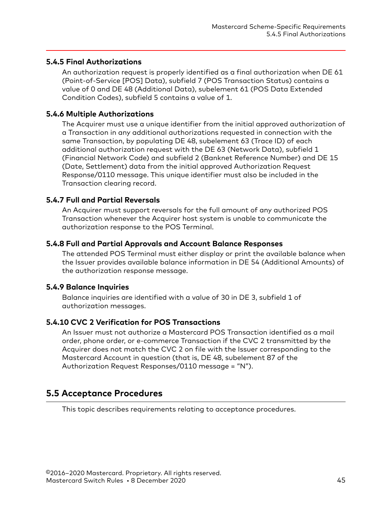### <span id="page-44-0"></span>**5.4.5 Final Authorizations**

An authorization request is properly identified as a final authorization when DE 61 (Point-of-Service [POS] Data), subfield 7 (POS Transaction Status) contains a value of 0 and DE 48 (Additional Data), subelement 61 (POS Data Extended Condition Codes), subfield 5 contains a value of 1.

## **5.4.6 Multiple Authorizations**

The Acquirer must use a unique identifier from the initial approved authorization of a Transaction in any additional authorizations requested in connection with the same Transaction, by populating DE 48, subelement 63 (Trace ID) of each additional authorization request with the DE 63 (Network Data), subfield 1 (Financial Network Code) and subfield 2 (Banknet Reference Number) and DE 15 (Date, Settlement) data from the initial approved Authorization Request Response/0110 message. This unique identifier must also be included in the Transaction clearing record.

## **5.4.7 Full and Partial Reversals**

An Acquirer must support reversals for the full amount of any authorized POS Transaction whenever the Acquirer host system is unable to communicate the authorization response to the POS Terminal.

### **5.4.8 Full and Partial Approvals and Account Balance Responses**

The attended POS Terminal must either display or print the available balance when the Issuer provides available balance information in DE 54 (Additional Amounts) of the authorization response message.

### **5.4.9 Balance Inquiries**

Balance inquiries are identified with a value of 30 in DE 3, subfield 1 of authorization messages.

# **5.4.10 CVC 2 Verification for POS Transactions**

An Issuer must not authorize a Mastercard POS Transaction identified as a mail order, phone order, or e-commerce Transaction if the CVC 2 transmitted by the Acquirer does not match the CVC 2 on file with the Issuer corresponding to the Mastercard Account in question (that is, DE 48, subelement 87 of the Authorization Request Responses/0110 message = "N").

# **5.5 Acceptance Procedures**

This topic describes requirements relating to acceptance procedures.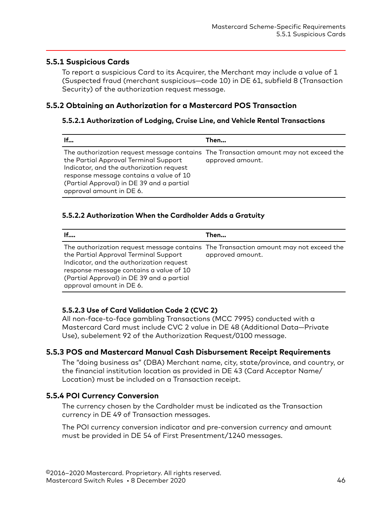## <span id="page-45-0"></span>**5.5.1 Suspicious Cards**

To report a suspicious Card to its Acquirer, the Merchant may include a value of 1 (Suspected fraud (merchant suspicious—code 10) in DE 61, subfield 8 (Transaction Security) of the authorization request message.

## **5.5.2 Obtaining an Authorization for a Mastercard POS Transaction**

#### **5.5.2.1 Authorization of Lodging, Cruise Line, and Vehicle Rental Transactions**

| If                                                                                                                                                                                                    | Then                                                                                                     |
|-------------------------------------------------------------------------------------------------------------------------------------------------------------------------------------------------------|----------------------------------------------------------------------------------------------------------|
| the Partial Approval Terminal Support<br>Indicator, and the authorization request<br>response message contains a value of 10<br>(Partial Approval) in DE 39 and a partial<br>approval amount in DE 6. | The authorization request message contains The Transaction amount may not exceed the<br>approved amount. |

#### **5.5.2.2 Authorization When the Cardholder Adds a Gratuity**

| If                                                                                                                                                                                                    | Then                                                                                                     |
|-------------------------------------------------------------------------------------------------------------------------------------------------------------------------------------------------------|----------------------------------------------------------------------------------------------------------|
| the Partial Approval Terminal Support<br>Indicator, and the authorization request<br>response message contains a value of 10<br>(Partial Approval) in DE 39 and a partial<br>approval amount in DE 6. | The authorization request message contains The Transaction amount may not exceed the<br>approved amount. |

### **5.5.2.3 Use of Card Validation Code 2 (CVC 2)**

All non-face-to-face gambling Transactions (MCC 7995) conducted with a Mastercard Card must include CVC 2 value in DE 48 (Additional Data—Private Use), subelement 92 of the Authorization Request/0100 message.

### **5.5.3 POS and Mastercard Manual Cash Disbursement Receipt Requirements**

The "doing business as" (DBA) Merchant name, city, state/province, and country, or the financial institution location as provided in DE 43 (Card Acceptor Name/ Location) must be included on a Transaction receipt.

# **5.5.4 POI Currency Conversion**

The currency chosen by the Cardholder must be indicated as the Transaction currency in DE 49 of Transaction messages.

The POI currency conversion indicator and pre-conversion currency and amount must be provided in DE 54 of First Presentment/1240 messages.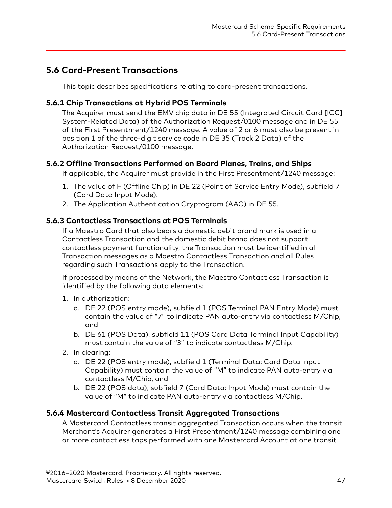# <span id="page-46-0"></span>**5.6 Card-Present Transactions**

This topic describes specifications relating to card-present transactions.

## **5.6.1 Chip Transactions at Hybrid POS Terminals**

The Acquirer must send the EMV chip data in DE 55 (Integrated Circuit Card [ICC] System-Related Data) of the Authorization Request/0100 message and in DE 55 of the First Presentment/1240 message. A value of 2 or 6 must also be present in position 1 of the three-digit service code in DE 35 (Track 2 Data) of the Authorization Request/0100 message.

## **5.6.2 Offline Transactions Performed on Board Planes, Trains, and Ships**

If applicable, the Acquirer must provide in the First Presentment/1240 message:

- 1. The value of F (Offline Chip) in DE 22 (Point of Service Entry Mode), subfield 7 (Card Data Input Mode).
- 2. The Application Authentication Cryptogram (AAC) in DE 55.

## **5.6.3 Contactless Transactions at POS Terminals**

If a Maestro Card that also bears a domestic debit brand mark is used in a Contactless Transaction and the domestic debit brand does not support contactless payment functionality, the Transaction must be identified in all Transaction messages as a Maestro Contactless Transaction and all Rules regarding such Transactions apply to the Transaction.

If processed by means of the Network, the Maestro Contactless Transaction is identified by the following data elements:

- 1. In authorization:
	- a. DE 22 (POS entry mode), subfield 1 (POS Terminal PAN Entry Mode) must contain the value of "7" to indicate PAN auto-entry via contactless M/Chip, and
	- b. DE 61 (POS Data), subfield 11 (POS Card Data Terminal Input Capability) must contain the value of "3" to indicate contactless M/Chip.
- 2. In clearing:
	- a. DE 22 (POS entry mode), subfield 1 (Terminal Data: Card Data Input Capability) must contain the value of "M" to indicate PAN auto-entry via contactless M/Chip, and
	- b. DE 22 (POS data), subfield 7 (Card Data: Input Mode) must contain the value of "M" to indicate PAN auto-entry via contactless M/Chip.

### **5.6.4 Mastercard Contactless Transit Aggregated Transactions**

A Mastercard Contactless transit aggregated Transaction occurs when the transit Merchant's Acquirer generates a First Presentment/1240 message combining one or more contactless taps performed with one Mastercard Account at one transit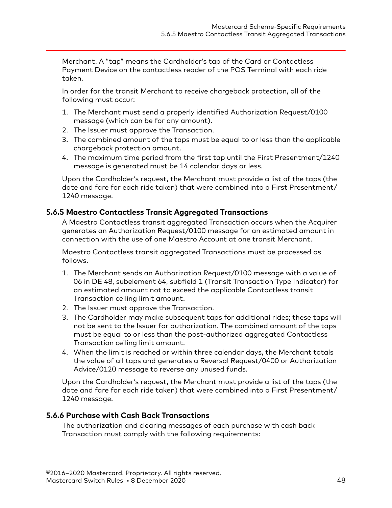<span id="page-47-0"></span>Merchant. A "tap" means the Cardholder's tap of the Card or Contactless Payment Device on the contactless reader of the POS Terminal with each ride taken.

In order for the transit Merchant to receive chargeback protection, all of the following must occur:

- 1. The Merchant must send a properly identified Authorization Request/0100 message (which can be for any amount).
- 2. The Issuer must approve the Transaction.
- 3. The combined amount of the taps must be equal to or less than the applicable chargeback protection amount.
- 4. The maximum time period from the first tap until the First Presentment/1240 message is generated must be 14 calendar days or less.

Upon the Cardholder's request, the Merchant must provide a list of the taps (the date and fare for each ride taken) that were combined into a First Presentment/ 1240 message.

#### **5.6.5 Maestro Contactless Transit Aggregated Transactions**

A Maestro Contactless transit aggregated Transaction occurs when the Acquirer generates an Authorization Request/0100 message for an estimated amount in connection with the use of one Maestro Account at one transit Merchant.

Maestro Contactless transit aggregated Transactions must be processed as follows.

- 1. The Merchant sends an Authorization Request/0100 message with a value of 06 in DE 48, subelement 64, subfield 1 (Transit Transaction Type Indicator) for an estimated amount not to exceed the applicable Contactless transit Transaction ceiling limit amount.
- 2. The Issuer must approve the Transaction.
- 3. The Cardholder may make subsequent taps for additional rides; these taps will not be sent to the Issuer for authorization. The combined amount of the taps must be equal to or less than the post-authorized aggregated Contactless Transaction ceiling limit amount.
- 4. When the limit is reached or within three calendar days, the Merchant totals the value of all taps and generates a Reversal Request/0400 or Authorization Advice/0120 message to reverse any unused funds.

Upon the Cardholder's request, the Merchant must provide a list of the taps (the date and fare for each ride taken) that were combined into a First Presentment/ 1240 message.

### **5.6.6 Purchase with Cash Back Transactions**

The authorization and clearing messages of each purchase with cash back Transaction must comply with the following requirements: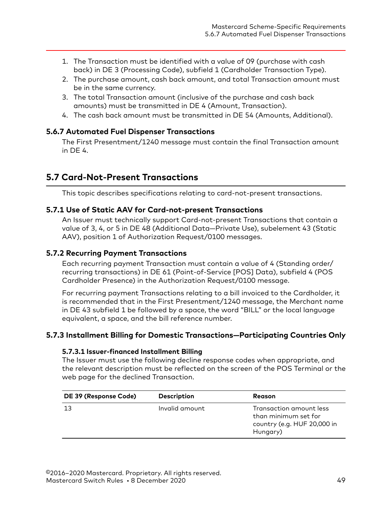- <span id="page-48-0"></span>1. The Transaction must be identified with a value of 09 (purchase with cash back) in DE 3 (Processing Code), subfield 1 (Cardholder Transaction Type).
- 2. The purchase amount, cash back amount, and total Transaction amount must be in the same currency.
- 3. The total Transaction amount (inclusive of the purchase and cash back amounts) must be transmitted in DE 4 (Amount, Transaction).
- 4. The cash back amount must be transmitted in DE 54 (Amounts, Additional).

### **5.6.7 Automated Fuel Dispenser Transactions**

The First Presentment/1240 message must contain the final Transaction amount in DE 4.

# **5.7 Card-Not-Present Transactions**

This topic describes specifications relating to card-not-present transactions.

### **5.7.1 Use of Static AAV for Card-not-present Transactions**

An Issuer must technically support Card-not-present Transactions that contain a value of 3, 4, or 5 in DE 48 (Additional Data—Private Use), subelement 43 (Static AAV), position 1 of Authorization Request/0100 messages.

## **5.7.2 Recurring Payment Transactions**

Each recurring payment Transaction must contain a value of 4 (Standing order/ recurring transactions) in DE 61 (Point-of-Service [POS] Data), subfield 4 (POS Cardholder Presence) in the Authorization Request/0100 message.

For recurring payment Transactions relating to a bill invoiced to the Cardholder, it is recommended that in the First Presentment/1240 message, the Merchant name in DE 43 subfield 1 be followed by a space, the word "BILL" or the local language equivalent, a space, and the bill reference number.

# **5.7.3 Installment Billing for Domestic Transactions—Participating Countries Only**

#### **5.7.3.1 Issuer-financed Installment Billing**

The Issuer must use the following decline response codes when appropriate, and the relevant description must be reflected on the screen of the POS Terminal or the web page for the declined Transaction.

| DE 39 (Response Code) | <b>Description</b> | <b>Reason</b>                                                                              |
|-----------------------|--------------------|--------------------------------------------------------------------------------------------|
| 13                    | Invalid amount     | Transaction amount less<br>than minimum set for<br>country (e.g. HUF 20,000 in<br>Hungary) |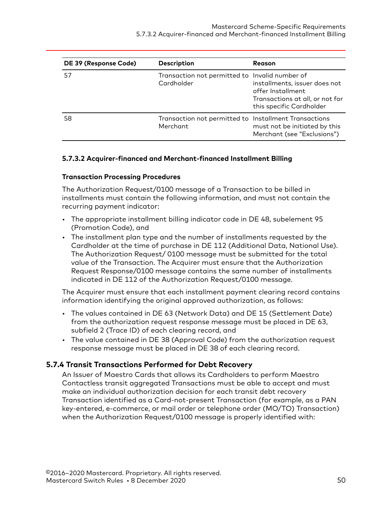<span id="page-49-0"></span>

| DE 39 (Response Code) | <b>Description</b>                                                | Reason                                                                                                            |
|-----------------------|-------------------------------------------------------------------|-------------------------------------------------------------------------------------------------------------------|
| 57                    | Transaction not permitted to Invalid number of<br>Cardholder      | installments, issuer does not<br>offer Installment<br>Transactions at all, or not for<br>this specific Cardholder |
| 58                    | Transaction not permitted to Installment Transactions<br>Merchant | must not be initiated by this<br>Merchant (see "Exclusions")                                                      |

#### **5.7.3.2 Acquirer-financed and Merchant-financed Installment Billing**

#### **Transaction Processing Procedures**

The Authorization Request/0100 message of a Transaction to be billed in installments must contain the following information, and must not contain the recurring payment indicator:

- The appropriate installment billing indicator code in DE 48, subelement 95 (Promotion Code), and
- The installment plan type and the number of installments requested by the Cardholder at the time of purchase in DE 112 (Additional Data, National Use). The Authorization Request/ 0100 message must be submitted for the total value of the Transaction. The Acquirer must ensure that the Authorization Request Response/0100 message contains the same number of installments indicated in DE 112 of the Authorization Request/0100 message.

The Acquirer must ensure that each installment payment clearing record contains information identifying the original approved authorization, as follows:

- The values contained in DE 63 (Network Data) and DE 15 (Settlement Date) from the authorization request response message must be placed in DE 63, subfield 2 (Trace ID) of each clearing record, and
- The value contained in DE 38 (Approval Code) from the authorization request response message must be placed in DE 38 of each clearing record.

### **5.7.4 Transit Transactions Performed for Debt Recovery**

An Issuer of Maestro Cards that allows its Cardholders to perform Maestro Contactless transit aggregated Transactions must be able to accept and must make an individual authorization decision for each transit debt recovery Transaction identified as a Card-not-present Transaction (for example, as a PAN key-entered, e-commerce, or mail order or telephone order (MO/TO) Transaction) when the Authorization Request/0100 message is properly identified with: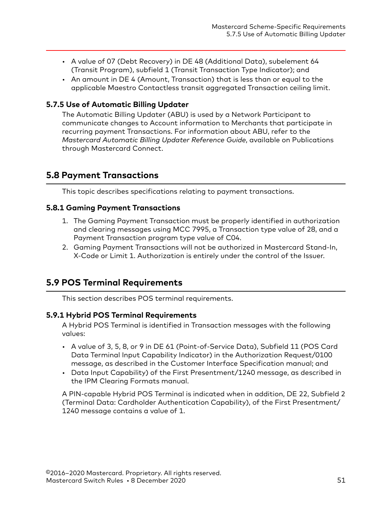- <span id="page-50-0"></span>• A value of 07 (Debt Recovery) in DE 48 (Additional Data), subelement 64 (Transit Program), subfield 1 (Transit Transaction Type Indicator); and
- An amount in DE 4 (Amount, Transaction) that is less than or equal to the applicable Maestro Contactless transit aggregated Transaction ceiling limit.

## **5.7.5 Use of Automatic Billing Updater**

The Automatic Billing Updater (ABU) is used by a Network Participant to communicate changes to Account information to Merchants that participate in recurring payment Transactions. For information about ABU, refer to the *Mastercard Automatic Billing Updater Reference Guide*, available on Publications through Mastercard Connect.

# **5.8 Payment Transactions**

This topic describes specifications relating to payment transactions.

# **5.8.1 Gaming Payment Transactions**

- 1. The Gaming Payment Transaction must be properly identified in authorization and clearing messages using MCC 7995, a Transaction type value of 28, and a Payment Transaction program type value of C04.
- 2. Gaming Payment Transactions will not be authorized in Mastercard Stand-In, X-Code or Limit 1. Authorization is entirely under the control of the Issuer.

# **5.9 POS Terminal Requirements**

This section describes POS terminal requirements.

### **5.9.1 Hybrid POS Terminal Requirements**

A Hybrid POS Terminal is identified in Transaction messages with the following values:

- A value of 3, 5, 8, or 9 in DE 61 (Point-of-Service Data), Subfield 11 (POS Card Data Terminal Input Capability Indicator) in the Authorization Request/0100 message, as described in the Customer Interface Specification manual; and
- Data Input Capability) of the First Presentment/1240 message, as described in the IPM Clearing Formats manual.

A PIN-capable Hybrid POS Terminal is indicated when in addition, DE 22, Subfield 2 (Terminal Data: Cardholder Authentication Capability), of the First Presentment/ 1240 message contains a value of 1.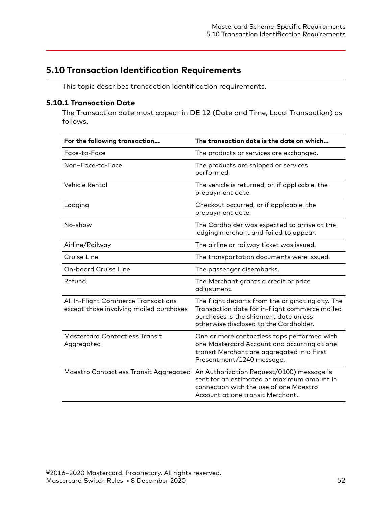# <span id="page-51-0"></span>**5.10 Transaction Identification Requirements**

This topic describes transaction identification requirements.

# **5.10.1 Transaction Date**

The Transaction date must appear in DE 12 (Date and Time, Local Transaction) as follows.

| For the following transaction                                                  | The transaction date is the date on which                                                                                                                                                                    |
|--------------------------------------------------------------------------------|--------------------------------------------------------------------------------------------------------------------------------------------------------------------------------------------------------------|
| Face-to-Face                                                                   | The products or services are exchanged.                                                                                                                                                                      |
| Non-Face-to-Face                                                               | The products are shipped or services<br>performed.                                                                                                                                                           |
| <b>Vehicle Rental</b>                                                          | The vehicle is returned, or, if applicable, the<br>prepayment date.                                                                                                                                          |
| Lodging                                                                        | Checkout occurred, or if applicable, the<br>prepayment date.                                                                                                                                                 |
| No-show                                                                        | The Cardholder was expected to arrive at the<br>lodging merchant and failed to appear.                                                                                                                       |
| Airline/Railway                                                                | The airline or railway ticket was issued.                                                                                                                                                                    |
| Cruise Line                                                                    | The transportation documents were issued.                                                                                                                                                                    |
| <b>On-board Cruise Line</b>                                                    | The passenger disembarks.                                                                                                                                                                                    |
| Refund                                                                         | The Merchant grants a credit or price<br>adjustment.                                                                                                                                                         |
| All In-Flight Commerce Transactions<br>except those involving mailed purchases | The flight departs from the originating city. The<br>Transaction date for in-flight commerce mailed<br>purchases is the shipment date unless<br>otherwise disclosed to the Cardholder.                       |
| <b>Mastercard Contactless Transit</b><br>Aggregated                            | One or more contactless taps performed with<br>one Mastercard Account and occurring at one<br>transit Merchant are aggregated in a First<br>Presentment/1240 message.                                        |
|                                                                                | Maestro Contactless Transit Aggregated An Authorization Request/0100) message is<br>sent for an estimated or maximum amount in<br>connection with the use of one Maestro<br>Account at one transit Merchant. |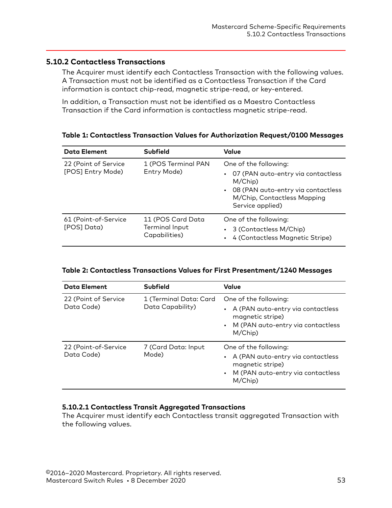## <span id="page-52-0"></span>**5.10.2 Contactless Transactions**

The Acquirer must identify each Contactless Transaction with the following values. A Transaction must not be identified as a Contactless Transaction if the Card information is contact chip-read, magnetic stripe-read, or key-entered.

In addition, a Transaction must not be identified as a Maestro Contactless Transaction if the Card information is contactless magnetic stripe-read.

#### **Table 1: Contactless Transaction Values for Authorization Request/0100 Messages**

| <b>Data Element</b>                       | <b>Subfield</b>                                      | Value                                                                                                                                                           |
|-------------------------------------------|------------------------------------------------------|-----------------------------------------------------------------------------------------------------------------------------------------------------------------|
| 22 (Point of Service<br>[POS] Entry Mode) | 1 (POS Terminal PAN<br>Entry Mode)                   | One of the following:<br>07 (PAN auto-entry via contactless<br>M/Chip)<br>08 (PAN auto-entry via contactless<br>M/Chip, Contactless Mapping<br>Service applied) |
| 61 (Point-of-Service<br>[POS] Data)       | 11 (POS Card Data<br>Terminal Input<br>Capabilities) | One of the following:<br>3 (Contactless M/Chip)<br>4 (Contactless Magnetic Stripe)                                                                              |

#### **Table 2: Contactless Transactions Values for First Presentment/1240 Messages**

| <b>Data Element</b>                | <b>Subfield</b>                            | Value                                                                                                                            |
|------------------------------------|--------------------------------------------|----------------------------------------------------------------------------------------------------------------------------------|
| 22 (Point of Service<br>Data Code) | 1 (Terminal Data: Card<br>Data Capability) | One of the following:<br>A (PAN auto-entry via contactless<br>magnetic stripe)<br>M (PAN auto-entry via contactless<br>M/Chip)   |
| 22 (Point-of-Service<br>Data Code) | 7 (Card Data: Input<br>Mode)               | One of the following:<br>A (PAN auto-entry via contactless<br>magnetic stripe)<br>• M (PAN auto-entry via contactless<br>M/Chip) |

### **5.10.2.1 Contactless Transit Aggregated Transactions**

The Acquirer must identify each Contactless transit aggregated Transaction with the following values.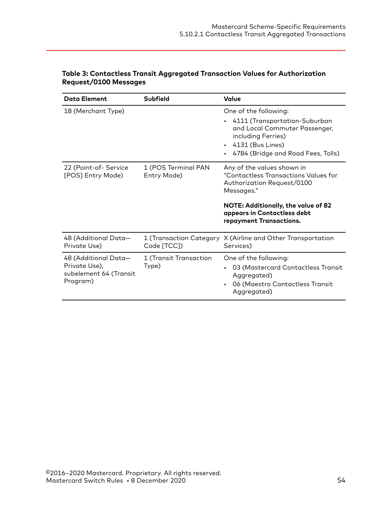| <b>Data Element</b>                                                         | Subfield                           | Value                                                                                                                                                                                                           |
|-----------------------------------------------------------------------------|------------------------------------|-----------------------------------------------------------------------------------------------------------------------------------------------------------------------------------------------------------------|
| 18 (Merchant Type)                                                          |                                    | One of the following:<br>4111 (Transportation-Suburban<br>and Local Commuter Passenger,<br>including Ferries)<br>$\cdot$ 4131 (Bus Lines)<br>4784 (Bridge and Road Fees, Tolls)                                 |
| 22 (Point-of-Service<br>[POS] Entry Mode)                                   | 1 (POS Terminal PAN<br>Entry Mode) | Any of the values shown in<br>"Contactless Transactions Values for<br>Authorization Request/0100<br>Messages."<br>NOTE: Additionally, the value of 82<br>appears in Contactless debt<br>repayment Transactions. |
| 48 (Additional Data-<br>Private Use)                                        | Code [TCC])                        | 1 (Transaction Category X (Airline and Other Transportation<br>Services)                                                                                                                                        |
| 48 (Additional Data-<br>Private Use),<br>subelement 64 (Transit<br>Program) | 1 (Transit Transaction<br>Type)    | One of the following:<br>03 (Mastercard Contactless Transit<br>Aggregated)<br>06 (Maestro Contactless Transit<br>Aggregated)                                                                                    |

#### **Table 3: Contactless Transit Aggregated Transaction Values for Authorization Request/0100 Messages**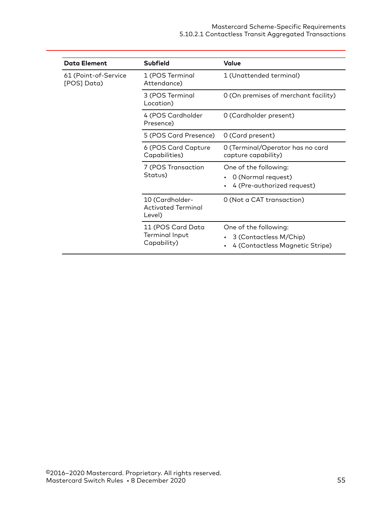| <b>Data Element</b>                 | <b>Subfield</b>                                        | Value                                                                              |
|-------------------------------------|--------------------------------------------------------|------------------------------------------------------------------------------------|
| 61 (Point-of-Service<br>[POS] Data) | 1 (POS Terminal<br>Attendance)                         | 1 (Unattended terminal)                                                            |
|                                     | 3 (POS Terminal<br>Location)                           | 0 (On premises of merchant facility)                                               |
|                                     | 4 (POS Cardholder<br>Presence)                         | 0 (Cardholder present)                                                             |
|                                     | 5 (POS Card Presence)                                  | 0 (Card present)                                                                   |
|                                     | 6 (POS Card Capture<br>Capabilities)                   | 0 (Terminal/Operator has no card<br>capture capability)                            |
|                                     | 7 (POS Transaction<br>Status)                          | One of the following:<br>0 (Normal request)<br>4 (Pre-authorized request)          |
|                                     | 10 (Cardholder-<br><b>Activated Terminal</b><br>Level) | 0 (Not a CAT transaction)                                                          |
|                                     | 11 (POS Card Data<br>Terminal Input<br>Capability)     | One of the following:<br>3 (Contactless M/Chip)<br>4 (Contactless Magnetic Stripe) |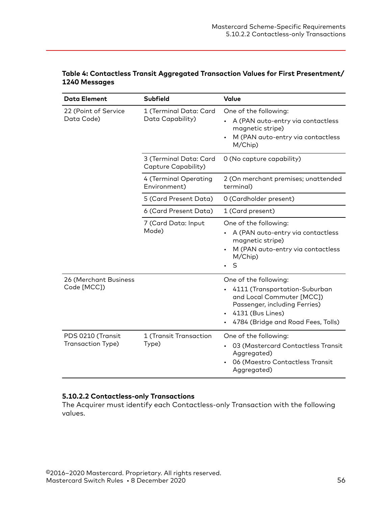| <b>Data Element</b>                    | Subfield                                      | Value                                                                                                                                                                          |
|----------------------------------------|-----------------------------------------------|--------------------------------------------------------------------------------------------------------------------------------------------------------------------------------|
| 22 (Point of Service<br>Data Code)     | 1 (Terminal Data: Card<br>Data Capability)    | One of the following:<br>A (PAN auto-entry via contactless<br>magnetic stripe)<br>M (PAN auto-entry via contactless<br>M/Chip)                                                 |
|                                        | 3 (Terminal Data: Card<br>Capture Capability) | 0 (No capture capability)                                                                                                                                                      |
|                                        | 4 (Terminal Operating<br>Environment)         | 2 (On merchant premises; unattended<br>terminal)                                                                                                                               |
|                                        | 5 (Card Present Data)                         | 0 (Cardholder present)                                                                                                                                                         |
|                                        | 6 (Card Present Data)                         | 1 (Card present)                                                                                                                                                               |
|                                        | 7 (Card Data: Input<br>Mode)                  | One of the following:<br>A (PAN auto-entry via contactless<br>magnetic stripe)<br>M (PAN auto-entry via contactless<br>M/Chip)<br>$\sf S$<br>$\bullet$                         |
| 26 (Merchant Business<br>Code [MCC])   |                                               | One of the following:<br>4111 (Transportation-Suburban<br>and Local Commuter [MCC])<br>Passenger, including Ferries)<br>4131 (Bus Lines)<br>4784 (Bridge and Road Fees, Tolls) |
| PDS 0210 (Transit<br>Transaction Type) | 1 (Transit Transaction<br>Type)               | One of the following:<br>03 (Mastercard Contactless Transit<br>Aggregated)<br>06 (Maestro Contactless Transit<br>Aggregated)                                                   |

#### <span id="page-55-0"></span>**Table 4: Contactless Transit Aggregated Transaction Values for First Presentment/ 1240 Messages**

## **5.10.2.2 Contactless-only Transactions**

The Acquirer must identify each Contactless-only Transaction with the following values.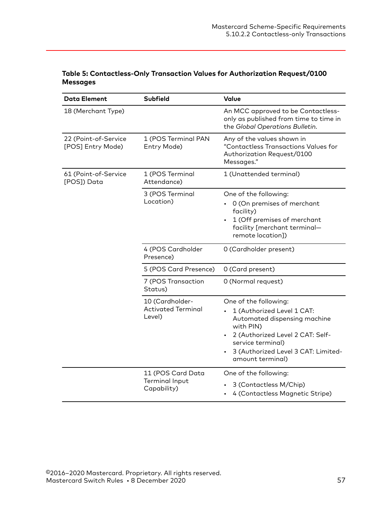### **Table 5: Contactless-Only Transaction Values for Authorization Request/0100 Messages**

| <b>Data Element</b>                       | <b>Subfield</b>                                        | Value                                                                                                                                                                                                                |
|-------------------------------------------|--------------------------------------------------------|----------------------------------------------------------------------------------------------------------------------------------------------------------------------------------------------------------------------|
| 18 (Merchant Type)                        |                                                        | An MCC approved to be Contactless-<br>only as published from time to time in<br>the Global Operations Bulletin.                                                                                                      |
| 22 (Point-of-Service<br>[POS] Entry Mode) | 1 (POS Terminal PAN<br>Entry Mode)                     | Any of the values shown in<br>"Contactless Transactions Values for<br>Authorization Request/0100<br>Messages."                                                                                                       |
| 61 (Point-of-Service<br>[POS]) Data       | 1 (POS Terminal<br>Attendance)                         | 1 (Unattended terminal)                                                                                                                                                                                              |
|                                           | 3 (POS Terminal<br>Location)                           | One of the following:<br>0 (On premises of merchant<br>facility)<br>1 (Off premises of merchant<br>facility [merchant terminal-<br>remote location])                                                                 |
|                                           | 4 (POS Cardholder<br>Presence)                         | 0 (Cardholder present)                                                                                                                                                                                               |
|                                           | 5 (POS Card Presence)                                  | 0 (Card present)                                                                                                                                                                                                     |
|                                           | 7 (POS Transaction<br>Status)                          | 0 (Normal request)                                                                                                                                                                                                   |
|                                           | 10 (Cardholder-<br><b>Activated Terminal</b><br>Level) | One of the following:<br>1 (Authorized Level 1 CAT:<br>Automated dispensing machine<br>with PIN)<br>2 (Authorized Level 2 CAT: Self-<br>service terminal)<br>3 (Authorized Level 3 CAT: Limited-<br>amount terminal) |
|                                           | 11 (POS Card Data<br>Terminal Input<br>Capability)     | One of the following:<br>3 (Contactless M/Chip)<br>4 (Contactless Magnetic Stripe)                                                                                                                                   |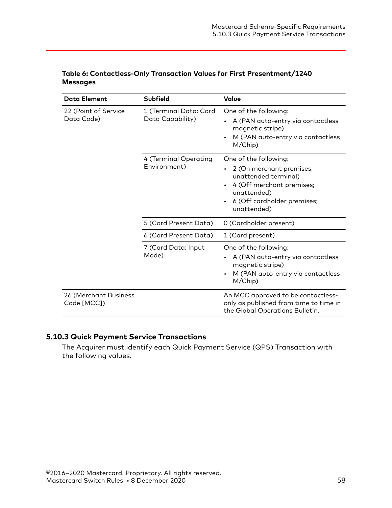| <b>Data Element</b>                  | <b>Subfield</b>                            | Value                                                                                                                                                                            |
|--------------------------------------|--------------------------------------------|----------------------------------------------------------------------------------------------------------------------------------------------------------------------------------|
| 22 (Point of Service<br>Data Code)   | 1 (Terminal Data: Card<br>Data Capability) | One of the following:<br>A (PAN auto-entry via contactless<br>magnetic stripe)<br>M (PAN auto-entry via contactless<br>M/Chip)                                                   |
|                                      | 4 (Terminal Operating<br>Environment)      | One of the following:<br>2 (On merchant premises;<br>unattended terminal)<br>4 (Off merchant premises;<br>unattended)<br>6 (Off cardholder premises;<br>$\bullet$<br>unattended) |
|                                      | 5 (Card Present Data)                      | 0 (Cardholder present)                                                                                                                                                           |
|                                      | 6 (Card Present Data)                      | 1 (Card present)                                                                                                                                                                 |
|                                      | 7 (Card Data: Input<br>Mode)               | One of the following:<br>A (PAN auto-entry via contactless<br>magnetic stripe)<br>M (PAN auto-entry via contactless<br>M/Chip)                                                   |
| 26 (Merchant Business<br>Code [MCC]) |                                            | An MCC approved to be contactless-<br>only as published from time to time in<br>the Global Operations Bulletin.                                                                  |

#### <span id="page-57-0"></span>**Table 6: Contactless-Only Transaction Values for First Presentment/1240 Messages**

# **5.10.3 Quick Payment Service Transactions**

The Acquirer must identify each Quick Payment Service (QPS) Transaction with the following values.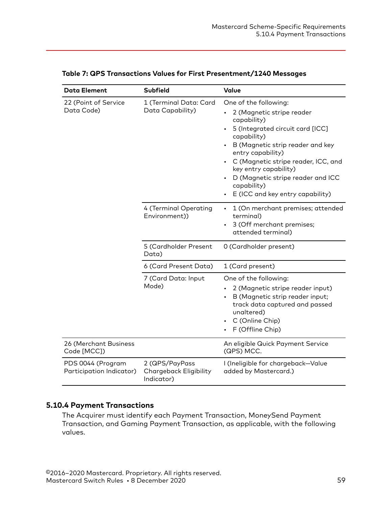| <b>Data Element</b>                           | <b>Subfield</b>                                        | Value                                                                                                                                                                                                                                                                                                                                 |
|-----------------------------------------------|--------------------------------------------------------|---------------------------------------------------------------------------------------------------------------------------------------------------------------------------------------------------------------------------------------------------------------------------------------------------------------------------------------|
| 22 (Point of Service<br>Data Code)            | 1 (Terminal Data: Card<br>Data Capability)             | One of the following:<br>2 (Magnetic stripe reader<br>capability)<br>5 (Integrated circuit card [ICC]<br>capability)<br>B (Magnetic strip reader and key<br>entry capability)<br>C (Magnetic stripe reader, ICC, and<br>key entry capability)<br>D (Magnetic stripe reader and ICC<br>capability)<br>E (ICC and key entry capability) |
|                                               | 4 (Terminal Operating<br>Environment))                 | 1 (On merchant premises; attended<br>$\bullet$<br>terminal)<br>3 (Off merchant premises;<br>attended terminal)                                                                                                                                                                                                                        |
|                                               | 5 (Cardholder Present<br>Data)                         | 0 (Cardholder present)                                                                                                                                                                                                                                                                                                                |
|                                               | 6 (Card Present Data)                                  | 1 (Card present)                                                                                                                                                                                                                                                                                                                      |
|                                               | 7 (Card Data: Input<br>Mode)                           | One of the following:<br>2 (Magnetic stripe reader input)<br>B (Magnetic strip reader input;<br>track data captured and passed<br>unaltered)<br>C (Online Chip)<br>F (Offline Chip)                                                                                                                                                   |
| 26 (Merchant Business<br>Code [MCC])          |                                                        | An eligible Quick Payment Service<br>(QPS) MCC.                                                                                                                                                                                                                                                                                       |
| PDS 0044 (Program<br>Participation Indicator) | 2 (QPS/PayPass<br>Chargeback Eligibility<br>Indicator) | I (Ineligible for chargeback-Value<br>added by Mastercard.)                                                                                                                                                                                                                                                                           |

#### <span id="page-58-0"></span>**Table 7: QPS Transactions Values for First Presentment/1240 Messages**

## **5.10.4 Payment Transactions**

The Acquirer must identify each Payment Transaction, MoneySend Payment Transaction, and Gaming Payment Transaction, as applicable, with the following values.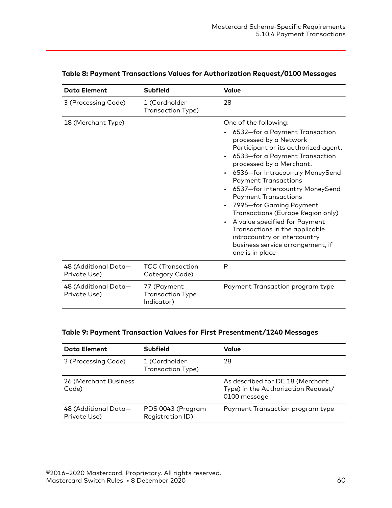| <b>Data Element</b>                  | Subfield                                             | Value                                                                                                                                                                                                                                                                                                                                                                                                                                                                                                                                                 |
|--------------------------------------|------------------------------------------------------|-------------------------------------------------------------------------------------------------------------------------------------------------------------------------------------------------------------------------------------------------------------------------------------------------------------------------------------------------------------------------------------------------------------------------------------------------------------------------------------------------------------------------------------------------------|
| 3 (Processing Code)                  | 1 (Cardholder<br>Transaction Type)                   | 28                                                                                                                                                                                                                                                                                                                                                                                                                                                                                                                                                    |
| 18 (Merchant Type)                   |                                                      | One of the following:<br>6532-for a Payment Transaction<br>processed by a Network<br>Participant or its authorized agent.<br>6533-for a Payment Transaction<br>processed by a Merchant.<br>6536-for Intracountry MoneySend<br><b>Payment Transactions</b><br>6537-for Intercountry MoneySend<br><b>Payment Transactions</b><br>7995-for Gaming Payment<br>Transactions (Europe Region only)<br>A value specified for Payment<br>Transactions in the applicable<br>intracountry or intercountry<br>business service arrangement, if<br>one is in place |
| 48 (Additional Data-<br>Private Use) | <b>TCC</b> (Transaction<br>Category Code)            | P                                                                                                                                                                                                                                                                                                                                                                                                                                                                                                                                                     |
| 48 (Additional Data-<br>Private Use) | 77 (Payment<br><b>Transaction Type</b><br>Indicator) | Payment Transaction program type                                                                                                                                                                                                                                                                                                                                                                                                                                                                                                                      |

#### **Table 8: Payment Transactions Values for Authorization Request/0100 Messages**

#### **Table 9: Payment Transaction Values for First Presentment/1240 Messages**

| <b>Data Element</b>                  | <b>Subfield</b>                       | Value                                                                                   |
|--------------------------------------|---------------------------------------|-----------------------------------------------------------------------------------------|
| 3 (Processing Code)                  | 1 (Cardholder<br>Transaction Type)    | 28                                                                                      |
| 26 (Merchant Business<br>Code)       |                                       | As described for DE 18 (Merchant<br>Type) in the Authorization Request/<br>0100 message |
| 48 (Additional Data-<br>Private Use) | PDS 0043 (Program<br>Registration ID) | Payment Transaction program type                                                        |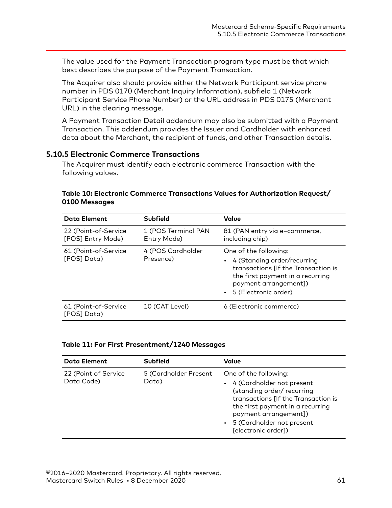<span id="page-60-0"></span>The value used for the Payment Transaction program type must be that which best describes the purpose of the Payment Transaction.

The Acquirer also should provide either the Network Participant service phone number in PDS 0170 (Merchant Inquiry Information), subfield 1 (Network Participant Service Phone Number) or the URL address in PDS 0175 (Merchant URL) in the clearing message.

A Payment Transaction Detail addendum may also be submitted with a Payment Transaction. This addendum provides the Issuer and Cardholder with enhanced data about the Merchant, the recipient of funds, and other Transaction details.

#### **5.10.5 Electronic Commerce Transactions**

The Acquirer must identify each electronic commerce Transaction with the following values.

| <b>Data Element</b>                       | <b>Subfield</b>                    | Value                                                                                                                                                                                |
|-------------------------------------------|------------------------------------|--------------------------------------------------------------------------------------------------------------------------------------------------------------------------------------|
| 22 (Point-of-Service<br>[POS] Entry Mode) | 1 (POS Terminal PAN<br>Entry Mode) | 81 (PAN entry via e-commerce,<br>including chip)                                                                                                                                     |
| 61 (Point-of-Service<br>[POS] Data)       | 4 (POS Cardholder<br>Presence)     | One of the following:<br>• 4 (Standing order/recurring<br>transactions [If the Transaction is<br>the first payment in a recurring<br>payment arrangement])<br>• 5 (Electronic order) |
| 61 (Point-of-Service<br>(POSI Data)       | 10 (CAT Level)                     | 6 (Electronic commerce)                                                                                                                                                              |

#### **Table 10: Electronic Commerce Transactions Values for Authorization Request/ 0100 Messages**

#### **Table 11: For First Presentment/1240 Messages**

| <b>Data Element</b>                | <b>Subfield</b>                | Value                                                                                                                                                                                                                                        |
|------------------------------------|--------------------------------|----------------------------------------------------------------------------------------------------------------------------------------------------------------------------------------------------------------------------------------------|
| 22 (Point of Service<br>Data Code) | 5 (Cardholder Present<br>Data) | One of the following:<br>• 4 (Cardholder not present<br>(standing order/ recurring<br>transactions [If the Transaction is<br>the first payment in a recurring<br>payment arrangement])<br>• 5 (Cardholder not present<br>[electronic order]) |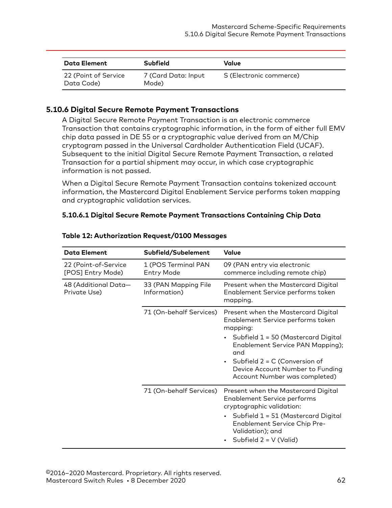<span id="page-61-0"></span>

| Data Element                       | <b>Subfield</b>              | Value                   |
|------------------------------------|------------------------------|-------------------------|
| 22 (Point of Service<br>Data Code) | 7 (Card Data: Input<br>Mode) | S (Electronic commerce) |

## **5.10.6 Digital Secure Remote Payment Transactions**

A Digital Secure Remote Payment Transaction is an electronic commerce Transaction that contains cryptographic information, in the form of either full EMV chip data passed in DE 55 or a cryptographic value derived from an M/Chip cryptogram passed in the Universal Cardholder Authentication Field (UCAF). Subsequent to the initial Digital Secure Remote Payment Transaction, a related Transaction for a partial shipment may occur, in which case cryptographic information is not passed.

When a Digital Secure Remote Payment Transaction contains tokenized account information, the Mastercard Digital Enablement Service performs token mapping and cryptographic validation services.

#### **5.10.6.1 Digital Secure Remote Payment Transactions Containing Chip Data**

| <b>Data Element</b>                       | Subfield/Subelement                      | Value                                                                                                                                                                                                                                                                              |
|-------------------------------------------|------------------------------------------|------------------------------------------------------------------------------------------------------------------------------------------------------------------------------------------------------------------------------------------------------------------------------------|
| 22 (Point-of-Service<br>[POS] Entry Mode) | 1 (POS Terminal PAN<br><b>Entry Mode</b> | 09 (PAN entry via electronic<br>commerce including remote chip)                                                                                                                                                                                                                    |
| 48 (Additional Data-<br>Private Use)      | 33 (PAN Mapping File<br>Information)     | Present when the Mastercard Digital<br>Enablement Service performs token<br>mapping.                                                                                                                                                                                               |
|                                           | 71 (On-behalf Services)                  | Present when the Mastercard Digital<br>Enablement Service performs token<br>mapping:<br>• Subfield $1 = 50$ (Mastercard Digital<br>Enablement Service PAN Mapping);<br>and<br>Subfield $2 = C$ (Conversion of<br>Device Account Number to Funding<br>Account Number was completed) |
|                                           | 71 (On-behalf Services)                  | Present when the Mastercard Digital<br><b>Enablement Service performs</b><br>cryptographic validation:<br>Subfield $1 = 51$ (Mastercard Digital<br><b>Enablement Service Chip Pre-</b><br>Validation); and<br>Subfield $2 = V$ (Valid)                                             |

#### **Table 12: Authorization Request/0100 Messages**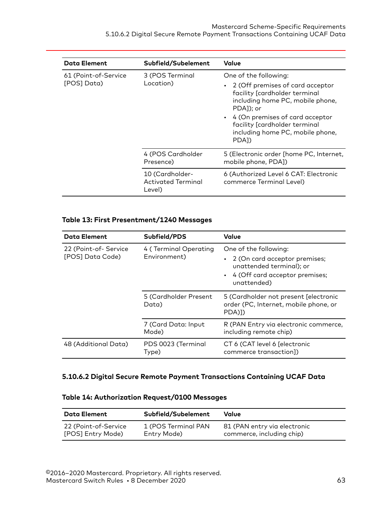<span id="page-62-0"></span>

| <b>Data Element</b>                 | Subfield/Subelement                             | Value                                                                                                                                                                                                                                                                       |
|-------------------------------------|-------------------------------------------------|-----------------------------------------------------------------------------------------------------------------------------------------------------------------------------------------------------------------------------------------------------------------------------|
| 61 (Point-of-Service<br>[POS] Data) | 3 (POS Terminal<br>Location)                    | One of the following:<br>• 2 (Off premises of card acceptor<br>facility [cardholder terminal<br>including home PC, mobile phone,<br>PDA1); or<br>• 4 (On premises of card acceptor<br>facility [cardholder terminal<br>including home PC, mobile phone,<br>PDA <sub>1</sub> |
|                                     | 4 (POS Cardholder<br>Presence)                  | 5 (Electronic order [home PC, Internet,<br>mobile phone, PDA])                                                                                                                                                                                                              |
|                                     | 10 (Cardholder-<br>Activated Terminal<br>Level) | 6 (Authorized Level 6 CAT: Electronic<br>commerce Terminal Level)                                                                                                                                                                                                           |

## **Table 13: First Presentment/1240 Messages**

| <b>Data Element</b>                      | Subfield/PDS                          | <b>Value</b>                                                                                                                          |
|------------------------------------------|---------------------------------------|---------------------------------------------------------------------------------------------------------------------------------------|
| 22 (Point-of-Service<br>[POS] Data Code) | 4 (Terminal Operating<br>Environment) | One of the following:<br>2 (On card acceptor premises;<br>unattended terminal); or<br>• 4 (Off card acceptor premises;<br>unattended) |
|                                          | 5 (Cardholder Present<br>Data)        | 5 (Cardholder not present [electronic<br>order (PC, Internet, mobile phone, or<br>PDA)1)                                              |
|                                          | 7 (Card Data: Input<br>Mode)          | R (PAN Entry via electronic commerce,<br>including remote chip)                                                                       |
| 48 (Additional Data)                     | PDS 0023 (Terminal<br>Type)           | CT 6 (CAT level 6 [electronic<br>commerce transaction])                                                                               |

## **5.10.6.2 Digital Secure Remote Payment Transactions Containing UCAF Data**

#### **Table 14: Authorization Request/0100 Messages**

| Data Element         | Subfield/Subelement | Value                        |
|----------------------|---------------------|------------------------------|
| 22 (Point-of-Service | 1 (POS Terminal PAN | 81 (PAN entry via electronic |
| [POS] Entry Mode)    | Entry Mode)         | commerce, including chip)    |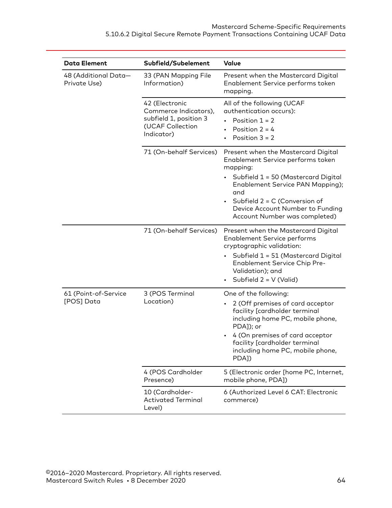| <b>Data Element</b>                  | Subfield/Subelement                                                                                 | Value                                                                                                                                                                                                                                                                            |
|--------------------------------------|-----------------------------------------------------------------------------------------------------|----------------------------------------------------------------------------------------------------------------------------------------------------------------------------------------------------------------------------------------------------------------------------------|
| 48 (Additional Data-<br>Private Use) | 33 (PAN Mapping File<br>Information)                                                                | Present when the Mastercard Digital<br>Enablement Service performs token<br>mapping.                                                                                                                                                                                             |
|                                      | 42 (Electronic<br>Commerce Indicators),<br>subfield 1, position 3<br>(UCAF Collection<br>Indicator) | All of the following (UCAF<br>authentication occurs):<br>Position $1 = 2$<br>Position $2 = 4$<br>٠<br>Position $3 = 2$                                                                                                                                                           |
|                                      | 71 (On-behalf Services)                                                                             | Present when the Mastercard Digital<br>Enablement Service performs token<br>mapping:<br>Subfield $1 = 50$ (Mastercard Digital<br>Enablement Service PAN Mapping);<br>and<br>Subfield $2 = C$ (Conversion of<br>Device Account Number to Funding<br>Account Number was completed) |
|                                      | 71 (On-behalf Services)                                                                             | Present when the Mastercard Digital<br><b>Enablement Service performs</b><br>cryptographic validation:<br>Subfield $1 = 51$ (Mastercard Digital<br><b>Enablement Service Chip Pre-</b><br>Validation); and<br>Subfield 2 = V (Valid)<br>$\bullet$                                |
| 61 (Point-of-Service<br>[POS] Data   | 3 (POS Terminal<br>Location)                                                                        | One of the following:<br>2 (Off premises of card acceptor<br>facility [cardholder terminal<br>including home PC, mobile phone,<br>PDA]); or<br>4 (On premises of card acceptor<br>facility [cardholder terminal<br>including home PC, mobile phone,<br>PDA])                     |
|                                      | 4 (POS Cardholder<br>Presence)                                                                      | 5 (Electronic order [home PC, Internet,<br>mobile phone, PDA])                                                                                                                                                                                                                   |
|                                      | 10 (Cardholder-<br><b>Activated Terminal</b><br>Level)                                              | 6 (Authorized Level 6 CAT: Electronic<br>commerce)                                                                                                                                                                                                                               |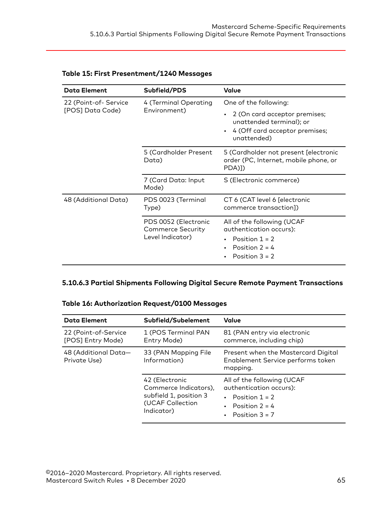| <b>Data Element</b>                      | Subfield/PDS                                                         | Value                                                                                                             |
|------------------------------------------|----------------------------------------------------------------------|-------------------------------------------------------------------------------------------------------------------|
| 22 (Point-of-Service<br>[POS] Data Code) | 4 (Terminal Operating<br>Environment)                                | One of the following:                                                                                             |
|                                          |                                                                      | 2 (On card acceptor premises;<br>unattended terminal); or<br>4 (Off card acceptor premises;<br>unattended)        |
|                                          | 5 (Cardholder Present<br>Data)                                       | 5 (Cardholder not present [electronic<br>order (PC, Internet, mobile phone, or<br>PDA)])                          |
|                                          | 7 (Card Data: Input<br>Mode)                                         | S (Electronic commerce)                                                                                           |
| 48 (Additional Data)                     | PDS 0023 (Terminal<br>Type)                                          | CT 6 (CAT level 6 [electronic<br>commerce transaction])                                                           |
|                                          | PDS 0052 (Electronic<br><b>Commerce Security</b><br>Level Indicator) | All of the following (UCAF<br>authentication occurs):<br>Position $1 = 2$<br>Position $2 = 4$<br>Position $3 = 2$ |

#### <span id="page-64-0"></span>**Table 15: First Presentment/1240 Messages**

# **5.10.6.3 Partial Shipments Following Digital Secure Remote Payment Transactions**

#### **Table 16: Authorization Request/0100 Messages**

| <b>Data Element</b>                       | Subfield/Subelement                                                                                 | Value                                                                                                                   |
|-------------------------------------------|-----------------------------------------------------------------------------------------------------|-------------------------------------------------------------------------------------------------------------------------|
| 22 (Point-of-Service<br>[POS] Entry Mode) | 1 (POS Terminal PAN<br>Entry Mode)                                                                  | 81 (PAN entry via electronic<br>commerce, including chip)                                                               |
| 48 (Additional Data-<br>Private Use)      | 33 (PAN Mapping File<br>Information)                                                                | Present when the Mastercard Digital<br>Enablement Service performs token<br>mapping.                                    |
|                                           | 42 (Electronic<br>Commerce Indicators),<br>subfield 1, position 3<br>(UCAF Collection<br>Indicator) | All of the following (UCAF<br>authentication occurs):<br>• Position $1 = 2$<br>• Position $2 = 4$<br>• Position $3 = 7$ |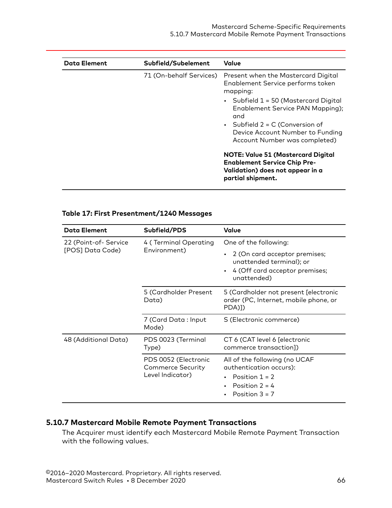<span id="page-65-0"></span>

| <b>Data Element</b> | Subfield/Subelement     | Value                                                                                                                                     |
|---------------------|-------------------------|-------------------------------------------------------------------------------------------------------------------------------------------|
|                     | 71 (On-behalf Services) | Present when the Mastercard Digital<br>Enablement Service performs token<br>mapping:                                                      |
|                     |                         | • Subfield $1 = 50$ (Mastercard Digital<br>Enablement Service PAN Mapping);<br>and                                                        |
|                     |                         | • Subfield $2 = C$ (Conversion of<br>Device Account Number to Funding<br>Account Number was completed)                                    |
|                     |                         | <b>NOTE: Value 51 (Mastercard Digital</b><br><b>Enablement Service Chip Pre-</b><br>Validation) does not appear in a<br>partial shipment. |

## **Table 17: First Presentment/1240 Messages**

| <b>Data Element</b>                      | Subfield/PDS                                                         | Value                                                                                                                |
|------------------------------------------|----------------------------------------------------------------------|----------------------------------------------------------------------------------------------------------------------|
| 22 (Point-of-Service<br>[POS] Data Code) | 4 (Terminal Operating<br>Environment)                                | One of the following:                                                                                                |
|                                          |                                                                      | 2 (On card acceptor premises;<br>unattended terminal); or<br>4 (Off card acceptor premises;<br>unattended)           |
|                                          | 5 (Cardholder Present<br>Data)                                       | 5 (Cardholder not present [electronic<br>order (PC, Internet, mobile phone, or<br>PDA)])                             |
|                                          | 7 (Card Data : Input<br>Mode)                                        | S (Electronic commerce)                                                                                              |
| 48 (Additional Data)                     | PDS 0023 (Terminal<br>Type)                                          | CT 6 (CAT level 6 [electronic<br>commerce transaction])                                                              |
|                                          | PDS 0052 (Electronic<br><b>Commerce Security</b><br>Level Indicator) | All of the following (no UCAF<br>authentication occurs):<br>Position $1 = 2$<br>Position $2 = 4$<br>Position $3 = 7$ |

## **5.10.7 Mastercard Mobile Remote Payment Transactions**

The Acquirer must identify each Mastercard Mobile Remote Payment Transaction with the following values.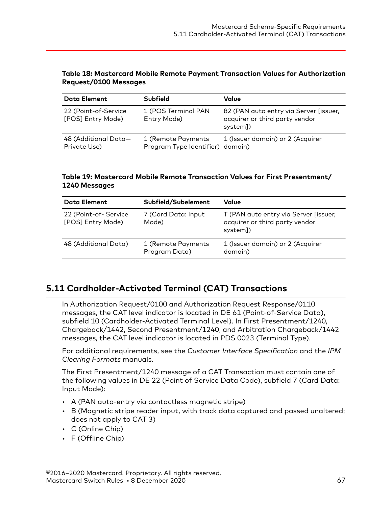#### <span id="page-66-0"></span>**Table 18: Mastercard Mobile Remote Payment Transaction Values for Authorization Request/0100 Messages**

| <b>Data Element</b>                       | <b>Subfield</b>                                        | Value                                                                                |
|-------------------------------------------|--------------------------------------------------------|--------------------------------------------------------------------------------------|
| 22 (Point-of-Service<br>[POS] Entry Mode) | 1 (POS Terminal PAN<br>Entry Mode)                     | 82 (PAN auto entry via Server [issuer,<br>acquirer or third party vendor<br>system]) |
| 48 (Additional Data-<br>Private Use)      | 1 (Remote Payments<br>Program Type Identifier) domain) | 1 (Issuer domain) or 2 (Acquirer                                                     |

#### **Table 19: Mastercard Mobile Remote Transaction Values for First Presentment/ 1240 Messages**

| <b>Data Element</b>                       | Subfield/Subelement                 | Value                                                                               |
|-------------------------------------------|-------------------------------------|-------------------------------------------------------------------------------------|
| 22 (Point-of-Service<br>[POS] Entry Mode) | 7 (Card Data: Input<br>Mode)        | T (PAN auto entry via Server [issuer,<br>acquirer or third party vendor<br>system]) |
| 48 (Additional Data)                      | 1 (Remote Payments<br>Program Data) | 1 (Issuer domain) or 2 (Acquirer<br>domain)                                         |

# **5.11 Cardholder-Activated Terminal (CAT) Transactions**

In Authorization Request/0100 and Authorization Request Response/0110 messages, the CAT level indicator is located in DE 61 (Point-of-Service Data), subfield 10 (Cardholder-Activated Terminal Level). In First Presentment/1240, Chargeback/1442, Second Presentment/1240, and Arbitration Chargeback/1442 messages, the CAT level indicator is located in PDS 0023 (Terminal Type).

For additional requirements, see the *Customer Interface Specification* and the *IPM Clearing Formats* manuals.

The First Presentment/1240 message of a CAT Transaction must contain one of the following values in DE 22 (Point of Service Data Code), subfield 7 (Card Data: Input Mode):

- A (PAN auto-entry via contactless magnetic stripe)
- B (Magnetic stripe reader input, with track data captured and passed unaltered; does not apply to CAT 3)
- C (Online Chip)
- F (Offline Chip)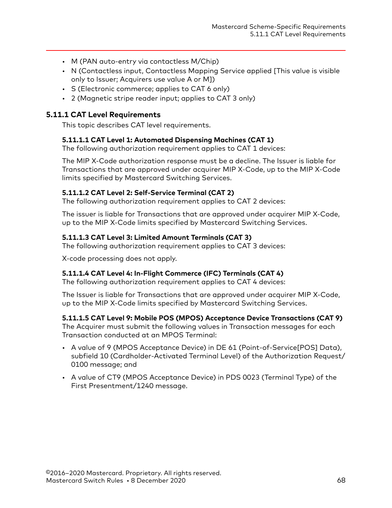- <span id="page-67-0"></span>• M (PAN auto-entry via contactless M/Chip)
- N (Contactless input, Contactless Mapping Service applied [This value is visible only to Issuer; Acquirers use value A or M])
- S (Electronic commerce; applies to CAT 6 only)
- 2 (Magnetic stripe reader input; applies to CAT 3 only)

#### **5.11.1 CAT Level Requirements**

This topic describes CAT level requirements.

#### **5.11.1.1 CAT Level 1: Automated Dispensing Machines (CAT 1)**

The following authorization requirement applies to CAT 1 devices:

The MIP X-Code authorization response must be a decline. The Issuer is liable for Transactions that are approved under acquirer MIP X-Code, up to the MIP X-Code limits specified by Mastercard Switching Services.

#### **5.11.1.2 CAT Level 2: Self-Service Terminal (CAT 2)**

The following authorization requirement applies to CAT 2 devices:

The issuer is liable for Transactions that are approved under acquirer MIP X-Code, up to the MIP X-Code limits specified by Mastercard Switching Services.

#### **5.11.1.3 CAT Level 3: Limited Amount Terminals (CAT 3)**

The following authorization requirement applies to CAT 3 devices:

X-code processing does not apply.

#### **5.11.1.4 CAT Level 4: In-Flight Commerce (IFC) Terminals (CAT 4)**

The following authorization requirement applies to CAT 4 devices:

The Issuer is liable for Transactions that are approved under acquirer MIP X-Code, up to the MIP X-Code limits specified by Mastercard Switching Services.

#### **5.11.1.5 CAT Level 9: Mobile POS (MPOS) Acceptance Device Transactions (CAT 9)**

The Acquirer must submit the following values in Transaction messages for each Transaction conducted at an MPOS Terminal:

- A value of 9 (MPOS Acceptance Device) in DE 61 (Point-of-Service[POS] Data), subfield 10 (Cardholder-Activated Terminal Level) of the Authorization Request/ 0100 message; and
- A value of CT9 (MPOS Acceptance Device) in PDS 0023 (Terminal Type) of the First Presentment/1240 message.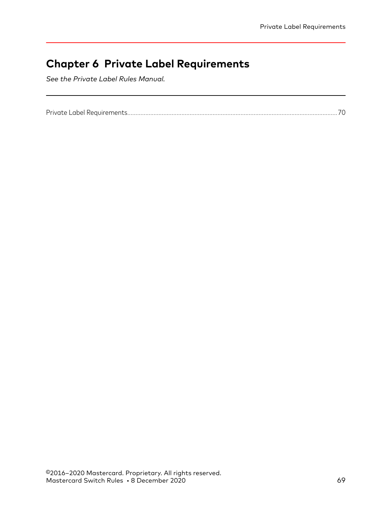# **Chapter 6 Private Label Requirements**

*See the Private Label Rules Manual.*

|--|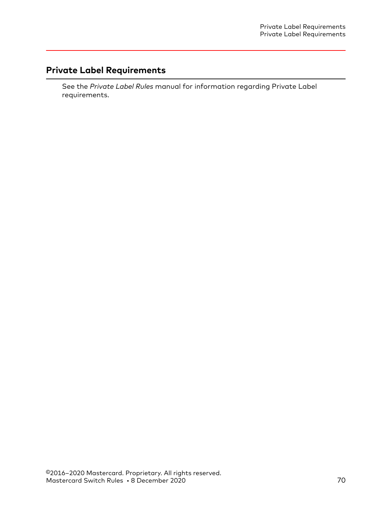# <span id="page-69-0"></span>**Private Label Requirements**

See the *Private Label Rules* manual for information regarding Private Label requirements.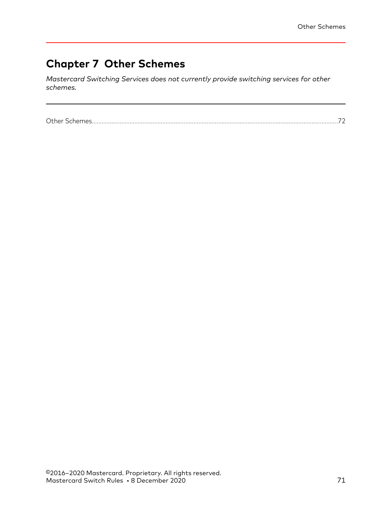# **Chapter 7 Other Schemes**

*Mastercard Switching Services does not currently provide switching services for other schemes.*

[Other Schemes......................................................................................................................................................72](#page-71-0)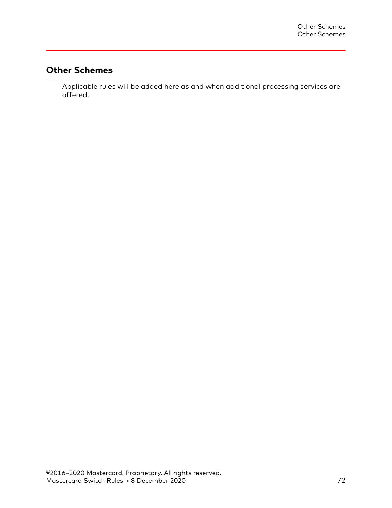# <span id="page-71-0"></span>**Other Schemes**

Applicable rules will be added here as and when additional processing services are offered.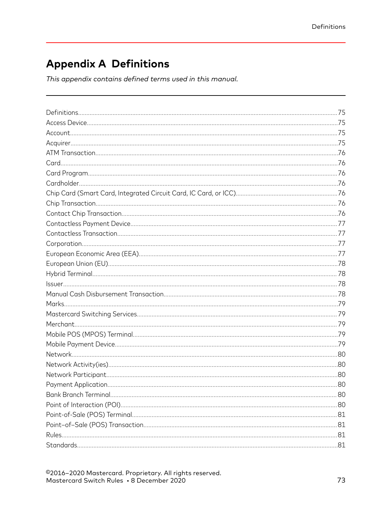# **Appendix A Definitions**

This appendix contains defined terms used in this manual.

©2016-2020 Mastercard. Proprietary. All rights reserved. Mastercard Switch Rules . 8 December 2020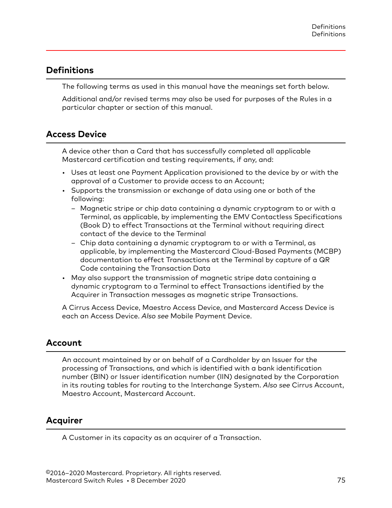# <span id="page-74-0"></span>**Definitions**

The following terms as used in this manual have the meanings set forth below.

Additional and/or revised terms may also be used for purposes of the Rules in a particular chapter or section of this manual.

# **Access Device**

A device other than a Card that has successfully completed all applicable Mastercard certification and testing requirements, if any, and:

- Uses at least one Payment Application provisioned to the device by or with the approval of a Customer to provide access to an Account;
- Supports the transmission or exchange of data using one or both of the following:
	- Magnetic stripe or chip data containing a dynamic cryptogram to or with a Terminal, as applicable, by implementing the EMV Contactless Specifications (Book D) to effect Transactions at the Terminal without requiring direct contact of the device to the Terminal
	- Chip data containing a dynamic cryptogram to or with a Terminal, as applicable, by implementing the Mastercard Cloud-Based Payments (MCBP) documentation to effect Transactions at the Terminal by capture of a QR Code containing the Transaction Data
- May also support the transmission of magnetic stripe data containing a dynamic cryptogram to a Terminal to effect Transactions identified by the Acquirer in Transaction messages as magnetic stripe Transactions.

A Cirrus Access Device, Maestro Access Device, and Mastercard Access Device is each an Access Device. *Also see* Mobile Payment Device.

# **Account**

An account maintained by or on behalf of a Cardholder by an Issuer for the processing of Transactions, and which is identified with a bank identification number (BIN) or Issuer identification number (IIN) designated by the Corporation in its routing tables for routing to the Interchange System. *Also see* Cirrus Account, Maestro Account, Mastercard Account.

# **Acquirer**

A Customer in its capacity as an acquirer of a Transaction.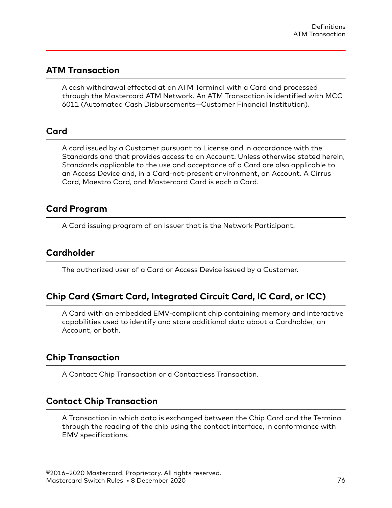## <span id="page-75-0"></span>**ATM Transaction**

A cash withdrawal effected at an ATM Terminal with a Card and processed through the Mastercard ATM Network. An ATM Transaction is identified with MCC 6011 (Automated Cash Disbursements—Customer Financial Institution).

### **Card**

A card issued by a Customer pursuant to License and in accordance with the Standards and that provides access to an Account. Unless otherwise stated herein, Standards applicable to the use and acceptance of a Card are also applicable to an Access Device and, in a Card-not-present environment, an Account. A Cirrus Card, Maestro Card, and Mastercard Card is each a Card.

# **Card Program**

A Card issuing program of an Issuer that is the Network Participant.

### **Cardholder**

The authorized user of a Card or Access Device issued by a Customer.

# **Chip Card (Smart Card, Integrated Circuit Card, IC Card, or ICC)**

A Card with an embedded EMV-compliant chip containing memory and interactive capabilities used to identify and store additional data about a Cardholder, an Account, or both.

# **Chip Transaction**

A Contact Chip Transaction or a Contactless Transaction.

# **Contact Chip Transaction**

A Transaction in which data is exchanged between the Chip Card and the Terminal through the reading of the chip using the contact interface, in conformance with EMV specifications.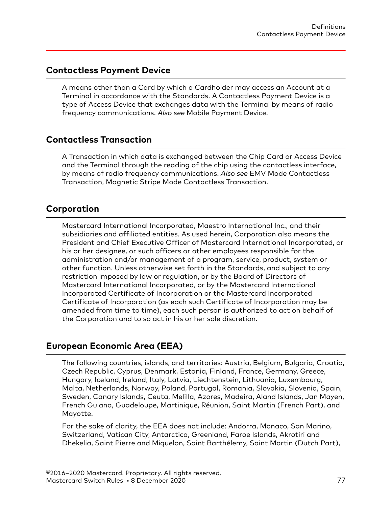# <span id="page-76-0"></span>**Contactless Payment Device**

A means other than a Card by which a Cardholder may access an Account at a Terminal in accordance with the Standards. A Contactless Payment Device is a type of Access Device that exchanges data with the Terminal by means of radio frequency communications. *Also see* Mobile Payment Device.

# **Contactless Transaction**

A Transaction in which data is exchanged between the Chip Card or Access Device and the Terminal through the reading of the chip using the contactless interface, by means of radio frequency communications. *Also see* EMV Mode Contactless Transaction, Magnetic Stripe Mode Contactless Transaction.

# **Corporation**

Mastercard International Incorporated, Maestro International Inc., and their subsidiaries and affiliated entities. As used herein, Corporation also means the President and Chief Executive Officer of Mastercard International Incorporated, or his or her designee, or such officers or other employees responsible for the administration and/or management of a program, service, product, system or other function. Unless otherwise set forth in the Standards, and subject to any restriction imposed by law or regulation, or by the Board of Directors of Mastercard International Incorporated, or by the Mastercard International Incorporated Certificate of Incorporation or the Mastercard Incorporated Certificate of Incorporation (as each such Certificate of Incorporation may be amended from time to time), each such person is authorized to act on behalf of the Corporation and to so act in his or her sole discretion.

# **European Economic Area (EEA)**

The following countries, islands, and territories: Austria, Belgium, Bulgaria, Croatia, Czech Republic, Cyprus, Denmark, Estonia, Finland, France, Germany, Greece, Hungary, Iceland, Ireland, Italy, Latvia, Liechtenstein, Lithuania, Luxembourg, Malta, Netherlands, Norway, Poland, Portugal, Romania, Slovakia, Slovenia, Spain, Sweden, Canary Islands, Ceuta, Melilla, Azores, Madeira, Aland Islands, Jan Mayen, French Guiana, Guadeloupe, Martinique, Réunion, Saint Martin (French Part), and Mayotte.

For the sake of clarity, the EEA does not include: Andorra, Monaco, San Marino, Switzerland, Vatican City, Antarctica, Greenland, Faroe Islands, Akrotiri and Dhekelia, Saint Pierre and Miquelon, Saint Barthélemy, Saint Martin (Dutch Part),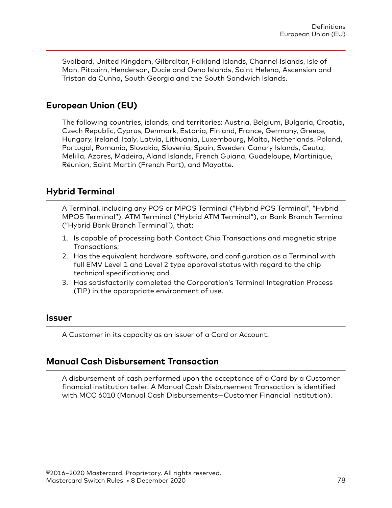<span id="page-77-0"></span>Svalbard, United Kingdom, Gilbraltar, Falkland Islands, Channel Islands, Isle of Man, Pitcairn, Henderson, Ducie and Oeno Islands, Saint Helena, Ascension and Tristan da Cunha, South Georgia and the South Sandwich Islands.

# **European Union (EU)**

The following countries, islands, and territories: Austria, Belgium, Bulgaria, Croatia, Czech Republic, Cyprus, Denmark, Estonia, Finland, France, Germany, Greece, Hungary, Ireland, Italy, Latvia, Lithuania, Luxembourg, Malta, Netherlands, Poland, Portugal, Romania, Slovakia, Slovenia, Spain, Sweden, Canary Islands, Ceuta, Melilla, Azores, Madeira, Aland Islands, French Guiana, Guadeloupe, Martinique, Réunion, Saint Martin (French Part), and Mayotte.

# **Hybrid Terminal**

A Terminal, including any POS or MPOS Terminal ("Hybrid POS Terminal", "Hybrid MPOS Terminal"), ATM Terminal ("Hybrid ATM Terminal"), or Bank Branch Terminal ("Hybrid Bank Branch Terminal"), that:

- 1. Is capable of processing both Contact Chip Transactions and magnetic stripe Transactions;
- 2. Has the equivalent hardware, software, and configuration as a Terminal with full EMV Level 1 and Level 2 type approval status with regard to the chip technical specifications; and
- 3. Has satisfactorily completed the Corporation's Terminal Integration Process (TIP) in the appropriate environment of use.

#### **Issuer**

A Customer in its capacity as an issuer of a Card or Account.

#### **Manual Cash Disbursement Transaction**

A disbursement of cash performed upon the acceptance of a Card by a Customer financial institution teller. A Manual Cash Disbursement Transaction is identified with MCC 6010 (Manual Cash Disbursements—Customer Financial Institution).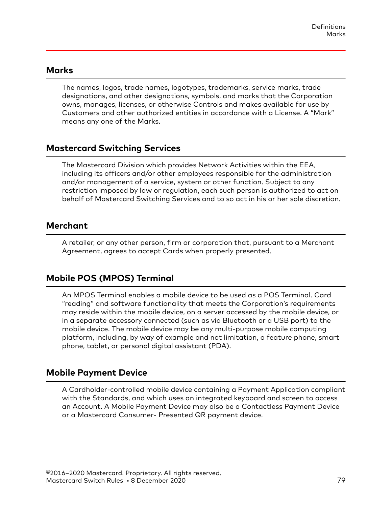#### <span id="page-78-0"></span>**Marks**

The names, logos, trade names, logotypes, trademarks, service marks, trade designations, and other designations, symbols, and marks that the Corporation owns, manages, licenses, or otherwise Controls and makes available for use by Customers and other authorized entities in accordance with a License. A "Mark" means any one of the Marks.

# **Mastercard Switching Services**

The Mastercard Division which provides Network Activities within the EEA, including its officers and/or other employees responsible for the administration and/or management of a service, system or other function. Subject to any restriction imposed by law or regulation, each such person is authorized to act on behalf of Mastercard Switching Services and to so act in his or her sole discretion.

# **Merchant**

A retailer, or any other person, firm or corporation that, pursuant to a Merchant Agreement, agrees to accept Cards when properly presented.

# **Mobile POS (MPOS) Terminal**

An MPOS Terminal enables a mobile device to be used as a POS Terminal. Card "reading" and software functionality that meets the Corporation's requirements may reside within the mobile device, on a server accessed by the mobile device, or in a separate accessory connected (such as via Bluetooth or a USB port) to the mobile device. The mobile device may be any multi-purpose mobile computing platform, including, by way of example and not limitation, a feature phone, smart phone, tablet, or personal digital assistant (PDA).

# **Mobile Payment Device**

A Cardholder-controlled mobile device containing a Payment Application compliant with the Standards, and which uses an integrated keyboard and screen to access an Account. A Mobile Payment Device may also be a Contactless Payment Device or a Mastercard Consumer- Presented QR payment device.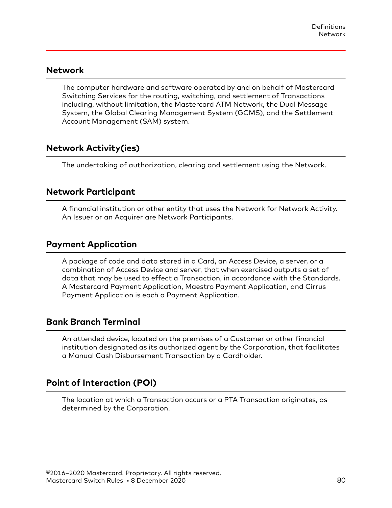### <span id="page-79-0"></span>**Network**

The computer hardware and software operated by and on behalf of Mastercard Switching Services for the routing, switching, and settlement of Transactions including, without limitation, the Mastercard ATM Network, the Dual Message System, the Global Clearing Management System (GCMS), and the Settlement Account Management (SAM) system.

# **Network Activity(ies)**

The undertaking of authorization, clearing and settlement using the Network.

### **Network Participant**

A financial institution or other entity that uses the Network for Network Activity. An Issuer or an Acquirer are Network Participants.

# **Payment Application**

A package of code and data stored in a Card, an Access Device, a server, or a combination of Access Device and server, that when exercised outputs a set of data that may be used to effect a Transaction, in accordance with the Standards. A Mastercard Payment Application, Maestro Payment Application, and Cirrus Payment Application is each a Payment Application.

# **Bank Branch Terminal**

An attended device, located on the premises of a Customer or other financial institution designated as its authorized agent by the Corporation, that facilitates a Manual Cash Disbursement Transaction by a Cardholder.

# **Point of Interaction (POI)**

The location at which a Transaction occurs or a PTA Transaction originates, as determined by the Corporation.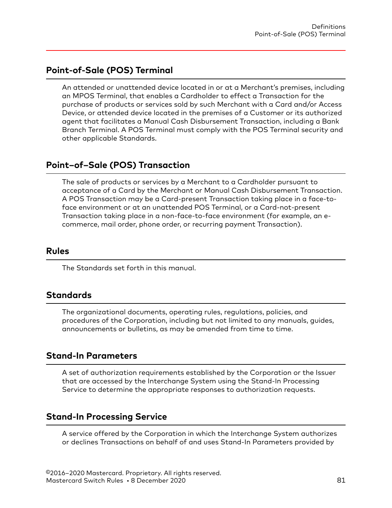# <span id="page-80-0"></span>**Point-of-Sale (POS) Terminal**

An attended or unattended device located in or at a Merchant's premises, including an MPOS Terminal, that enables a Cardholder to effect a Transaction for the purchase of products or services sold by such Merchant with a Card and/or Access Device, or attended device located in the premises of a Customer or its authorized agent that facilitates a Manual Cash Disbursement Transaction, including a Bank Branch Terminal. A POS Terminal must comply with the POS Terminal security and other applicable Standards.

# **Point–of–Sale (POS) Transaction**

The sale of products or services by a Merchant to a Cardholder pursuant to acceptance of a Card by the Merchant or Manual Cash Disbursement Transaction. A POS Transaction may be a Card-present Transaction taking place in a face-toface environment or at an unattended POS Terminal, or a Card-not-present Transaction taking place in a non-face-to-face environment (for example, an ecommerce, mail order, phone order, or recurring payment Transaction).

#### **Rules**

The Standards set forth in this manual.

# **Standards**

The organizational documents, operating rules, regulations, policies, and procedures of the Corporation, including but not limited to any manuals, guides, announcements or bulletins, as may be amended from time to time.

#### **Stand-In Parameters**

A set of authorization requirements established by the Corporation or the Issuer that are accessed by the Interchange System using the Stand-In Processing Service to determine the appropriate responses to authorization requests.

#### **Stand-In Processing Service**

A service offered by the Corporation in which the Interchange System authorizes or declines Transactions on behalf of and uses Stand-In Parameters provided by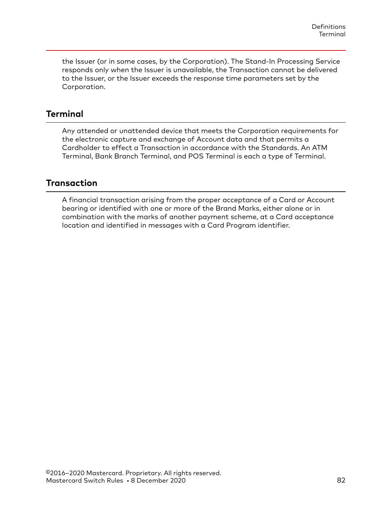<span id="page-81-0"></span>the Issuer (or in some cases, by the Corporation). The Stand-In Processing Service responds only when the Issuer is unavailable, the Transaction cannot be delivered to the Issuer, or the Issuer exceeds the response time parameters set by the Corporation.

# **Terminal**

Any attended or unattended device that meets the Corporation requirements for the electronic capture and exchange of Account data and that permits a Cardholder to effect a Transaction in accordance with the Standards. An ATM Terminal, Bank Branch Terminal, and POS Terminal is each a type of Terminal.

# **Transaction**

A financial transaction arising from the proper acceptance of a Card or Account bearing or identified with one or more of the Brand Marks, either alone or in combination with the marks of another payment scheme, at a Card acceptance location and identified in messages with a Card Program identifier.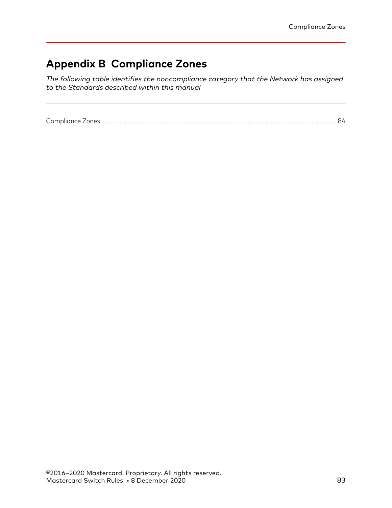# **Appendix B Compliance Zones**

*The following table identifies the noncompliance category that the Network has assigned to the Standards described within this manual*

[Compliance Zones.................................................................................................................................................84](#page-83-0)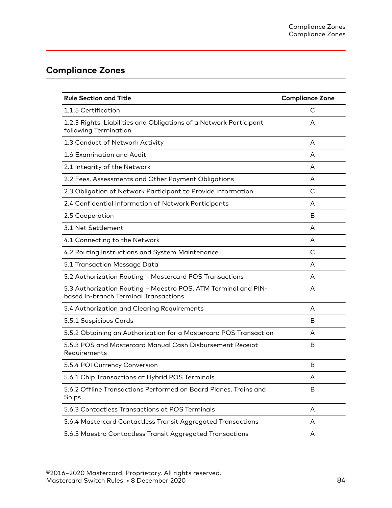# <span id="page-83-0"></span>**Compliance Zones**

| <b>Rule Section and Title</b>                                                                           | <b>Compliance Zone</b> |
|---------------------------------------------------------------------------------------------------------|------------------------|
| 1.1.5 Certification                                                                                     | С                      |
| 1.2.3 Rights, Liabilities and Obligations of a Network Participant<br>following Termination             | A                      |
| 1.3 Conduct of Network Activity                                                                         | A                      |
| 1.6 Examination and Audit                                                                               | A                      |
| 2.1 Integrity of the Network                                                                            | A                      |
| 2.2 Fees, Assessments and Other Payment Obligations                                                     | A                      |
| 2.3 Obligation of Network Participant to Provide Information                                            | C                      |
| 2.4 Confidential Information of Network Participants                                                    | A                      |
| 2.5 Cooperation                                                                                         | B                      |
| 3.1 Net Settlement                                                                                      | A                      |
| 4.1 Connecting to the Network                                                                           | A                      |
| 4.2 Routing Instructions and System Maintenance                                                         | C                      |
| 5.1 Transaction Message Data                                                                            | A                      |
| 5.2 Authorization Routing - Mastercard POS Transactions                                                 | A                      |
| 5.3 Authorization Routing - Maestro POS, ATM Terminal and PIN-<br>based In-branch Terminal Transactions | A                      |
| 5.4 Authorization and Clearing Requirements                                                             | A                      |
| 5.5.1 Suspicious Cards                                                                                  | В                      |
| 5.5.2 Obtaining an Authorization for a Mastercard POS Transaction                                       | A                      |
| 5.5.3 POS and Mastercard Manual Cash Disbursement Receipt<br>Requirements                               | B                      |
| 5.5.4 POI Currency Conversion                                                                           | В                      |
| 5.6.1 Chip Transactions at Hybrid POS Terminals                                                         | Α                      |
| 5.6.2 Offline Transactions Performed on Board Planes, Trains and<br>Ships                               | B                      |
| 5.6.3 Contactless Transactions at POS Terminals                                                         | A                      |
| 5.6.4 Mastercard Contactless Transit Aggregated Transactions                                            | A                      |
| 5.6.5 Maestro Contactless Transit Aggregated Transactions                                               | A                      |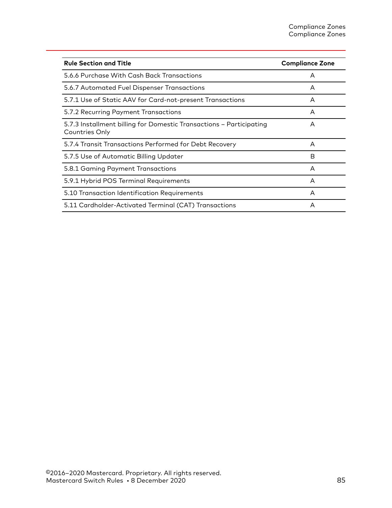| <b>Rule Section and Title</b>                                                         | <b>Compliance Zone</b> |
|---------------------------------------------------------------------------------------|------------------------|
| 5.6.6 Purchase With Cash Back Transactions                                            | A                      |
| 5.6.7 Automated Fuel Dispenser Transactions                                           | A                      |
| 5.7.1 Use of Static AAV for Card-not-present Transactions                             | A                      |
| 5.7.2 Recurring Payment Transactions                                                  | A                      |
| 5.7.3 Installment billing for Domestic Transactions - Participating<br>Countries Only | A                      |
| 5.7.4 Transit Transactions Performed for Debt Recovery                                | A                      |
| 5.7.5 Use of Automatic Billing Updater                                                | B                      |
| 5.8.1 Gaming Payment Transactions                                                     | A                      |
| 5.9.1 Hybrid POS Terminal Requirements                                                | A                      |
| 5.10 Transaction Identification Requirements                                          | A                      |
| 5.11 Cardholder-Activated Terminal (CAT) Transactions                                 | A                      |